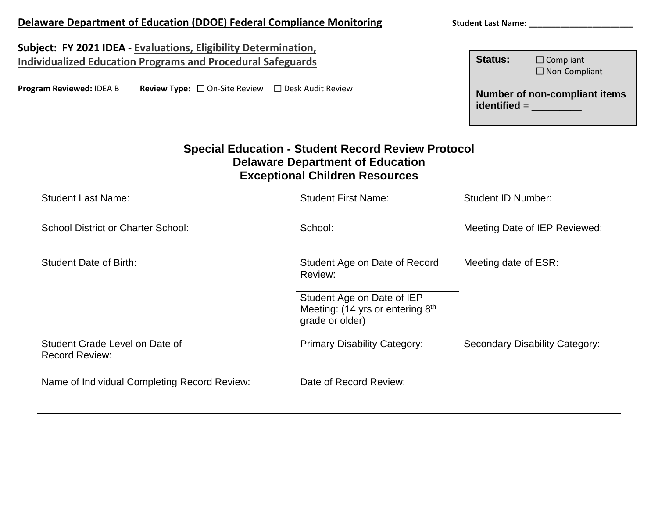# **Delaware Department of Education (DDOE) Federal Compliance Monitoring Student Last Name: \_\_\_\_\_\_\_\_\_\_\_\_\_\_\_\_\_\_\_\_**

**Subject: FY 2021 IDEA - Evaluations, Eligibility Determination, Individualized Education Programs and Procedural Safeguards**

**Program Reviewed: IDEA B Review Type:** □ On-Site Review □ Desk Audit Review

| <b>Status:</b> | $\Box$ Compliant<br>$\square$ Non-Compliant |
|----------------|---------------------------------------------|
| $identified =$ | <b>Number of non-compliant items</b>        |

## **Special Education - Student Record Review Protocol Delaware Department of Education Exceptional Children Resources**

| <b>Student Last Name:</b>                               | <b>Student First Name:</b>                                                                                                    | <b>Student ID Number:</b>      |
|---------------------------------------------------------|-------------------------------------------------------------------------------------------------------------------------------|--------------------------------|
| <b>School District or Charter School:</b>               | School:                                                                                                                       | Meeting Date of IEP Reviewed:  |
| <b>Student Date of Birth:</b>                           | Student Age on Date of Record<br>Review:<br>Student Age on Date of IEP<br>Meeting: (14 yrs or entering 8th<br>grade or older) | Meeting date of ESR:           |
| Student Grade Level on Date of<br><b>Record Review:</b> | <b>Primary Disability Category:</b>                                                                                           | Secondary Disability Category: |
| Name of Individual Completing Record Review:            | Date of Record Review:                                                                                                        |                                |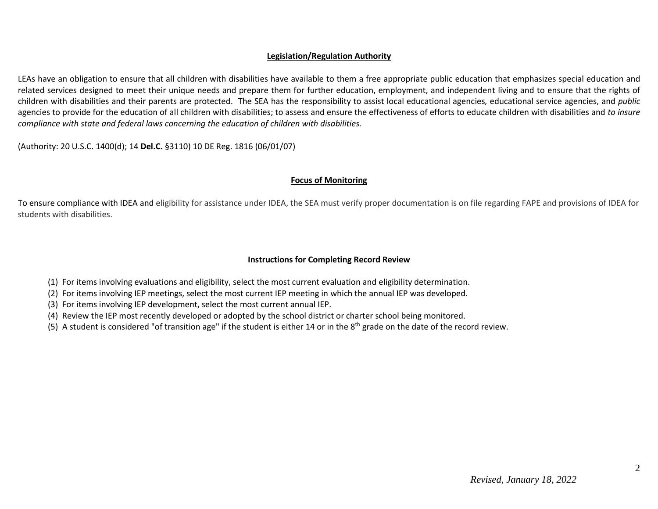#### **Legislation/Regulation Authority**

LEAs have an obligation to ensure that all children with disabilities have available to them a free appropriate public education that emphasizes special education and related services designed to meet their unique needs and prepare them for further education, employment, and independent living and to ensure that the rights of children with disabilities and their parents are protected. The SEA has the responsibility to assist local educational agencies*,* educational service agencies, and *public* agencies to provide for the education of all children with disabilities; to assess and ensure the effectiveness of efforts to educate children with disabilities and *to insure compliance with state and federal laws concerning the education of children with disabilities.*

(Authority: 20 U.S.C. 1400(d); 14 **Del.C.** §3110) 10 DE Reg. 1816 (06/01/07)

#### **Focus of Monitoring**

To ensure compliance with IDEA and eligibility for assistance under IDEA, the SEA must verify proper documentation is on file regarding FAPE and provisions of IDEA for students with disabilities.

#### **Instructions for Completing Record Review**

- (1) For items involving evaluations and eligibility, select the most current evaluation and eligibility determination.
- (2) For items involving IEP meetings, select the most current IEP meeting in which the annual IEP was developed.
- (3) For items involving IEP development, select the most current annual IEP.
- (4) Review the IEP most recently developed or adopted by the school district or charter school being monitored.
- (5) A student is considered "of transition age" if the student is either 14 or in the  $8<sup>th</sup>$  grade on the date of the record review.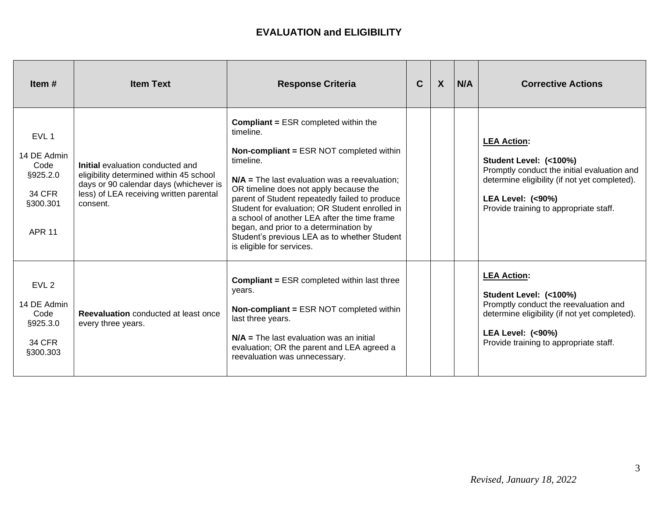| Item $#$                                                                                          | <b>Item Text</b>                                                                                                                                                             | <b>Response Criteria</b>                                                                                                                                                                                                                                                                                                                                                                                                                                                                         | $\mathbf C$ | $\boldsymbol{X}$ | N/A | <b>Corrective Actions</b>                                                                                                                                                                                             |
|---------------------------------------------------------------------------------------------------|------------------------------------------------------------------------------------------------------------------------------------------------------------------------------|--------------------------------------------------------------------------------------------------------------------------------------------------------------------------------------------------------------------------------------------------------------------------------------------------------------------------------------------------------------------------------------------------------------------------------------------------------------------------------------------------|-------------|------------------|-----|-----------------------------------------------------------------------------------------------------------------------------------------------------------------------------------------------------------------------|
| EVL <sub>1</sub><br>14 DE Admin<br>Code<br>§925.2.0<br><b>34 CFR</b><br>§300.301<br><b>APR 11</b> | Initial evaluation conducted and<br>eligibility determined within 45 school<br>days or 90 calendar days (whichever is<br>less) of LEA receiving written parental<br>consent. | <b>Compliant = ESR completed within the</b><br>timeline.<br><b>Non-compliant = ESR NOT completed within</b><br>timeline.<br>$N/A$ = The last evaluation was a reevaluation;<br>OR timeline does not apply because the<br>parent of Student repeatedly failed to produce<br>Student for evaluation; OR Student enrolled in<br>a school of another LEA after the time frame<br>began, and prior to a determination by<br>Student's previous LEA as to whether Student<br>is eligible for services. |             |                  |     | <b>LEA Action:</b><br>Student Level: (<100%)<br>Promptly conduct the initial evaluation and<br>determine eligibility (if not yet completed).<br><b>LEA Level: (&lt;90%)</b><br>Provide training to appropriate staff. |
| EVL <sub>2</sub><br>14 DE Admin<br>Code<br>§925.3.0<br>34 CFR<br>§300.303                         | Reevaluation conducted at least once<br>every three years.                                                                                                                   | <b>Compliant = ESR completed within last three</b><br>years.<br><b>Non-compliant = ESR NOT completed within</b><br>last three years.<br>$N/A$ = The last evaluation was an initial<br>evaluation; OR the parent and LEA agreed a<br>reevaluation was unnecessary.                                                                                                                                                                                                                                |             |                  |     | <b>LEA Action:</b><br>Student Level: (<100%)<br>Promptly conduct the reevaluation and<br>determine eligibility (if not yet completed).<br><b>LEA Level: (&lt;90%)</b><br>Provide training to appropriate staff.       |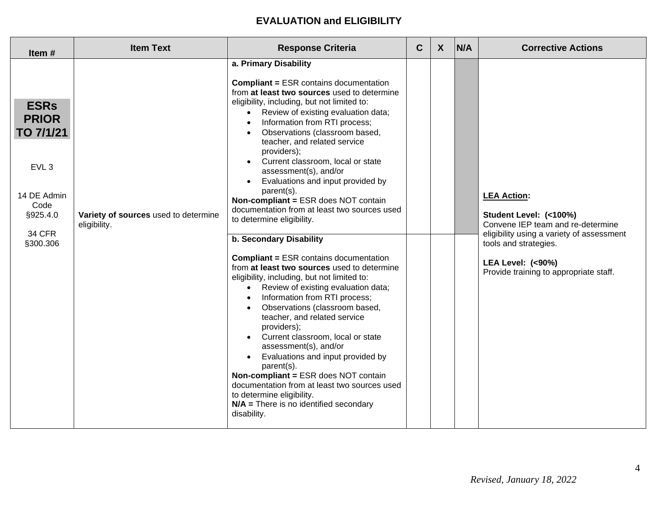| Item#                                                                                                                        | <b>Item Text</b>                                     | <b>Response Criteria</b>                                                                                                                                                                                                                                                                                                                                                                                                                                                                                                                                                                                                                                                                                                                                                                                                                                                                                                                                                                                                                                                                                                                                                                                               | $\mathbf C$ | $\mathsf{X}$ | N/A | <b>Corrective Actions</b>                                                                                                                                                                                                        |
|------------------------------------------------------------------------------------------------------------------------------|------------------------------------------------------|------------------------------------------------------------------------------------------------------------------------------------------------------------------------------------------------------------------------------------------------------------------------------------------------------------------------------------------------------------------------------------------------------------------------------------------------------------------------------------------------------------------------------------------------------------------------------------------------------------------------------------------------------------------------------------------------------------------------------------------------------------------------------------------------------------------------------------------------------------------------------------------------------------------------------------------------------------------------------------------------------------------------------------------------------------------------------------------------------------------------------------------------------------------------------------------------------------------------|-------------|--------------|-----|----------------------------------------------------------------------------------------------------------------------------------------------------------------------------------------------------------------------------------|
| <b>ESRs</b><br><b>PRIOR</b><br>TO 7/1/21<br>EVL <sub>3</sub><br>14 DE Admin<br>Code<br>§925.4.0<br><b>34 CFR</b><br>§300.306 | Variety of sources used to determine<br>eligibility. | a. Primary Disability<br><b>Compliant = ESR contains documentation</b><br>from at least two sources used to determine<br>eligibility, including, but not limited to:<br>Review of existing evaluation data;<br>$\bullet$<br>Information from RTI process;<br>Observations (classroom based,<br>teacher, and related service<br>providers);<br>Current classroom, local or state<br>assessment(s), and/or<br>Evaluations and input provided by<br>parent(s).<br>Non-compliant = ESR does NOT contain<br>documentation from at least two sources used<br>to determine eligibility.<br>b. Secondary Disability<br><b>Compliant = ESR contains documentation</b><br>from at least two sources used to determine<br>eligibility, including, but not limited to:<br>• Review of existing evaluation data;<br>Information from RTI process;<br>Observations (classroom based,<br>teacher, and related service<br>providers);<br>Current classroom, local or state<br>assessment(s), and/or<br>Evaluations and input provided by<br>parent(s).<br>Non-compliant = ESR does NOT contain<br>documentation from at least two sources used<br>to determine eligibility.<br>$N/A$ = There is no identified secondary<br>disability. |             |              |     | <b>LEA Action:</b><br>Student Level: (<100%)<br>Convene IEP team and re-determine<br>eligibility using a variety of assessment<br>tools and strategies.<br><b>LEA Level: (&lt;90%)</b><br>Provide training to appropriate staff. |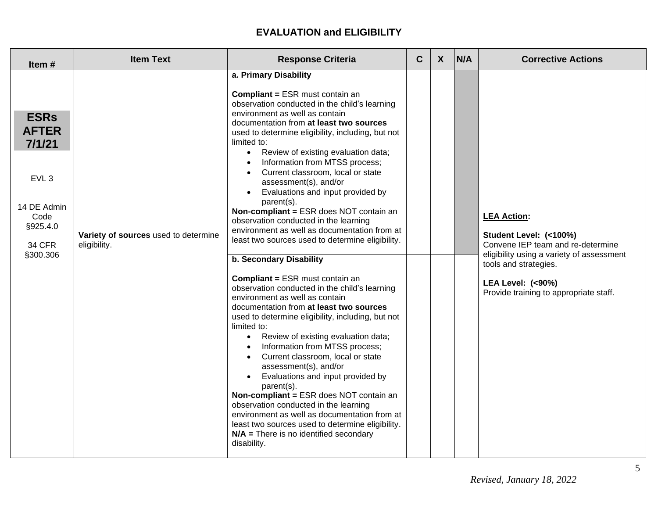| Item#                                                                                                                     | <b>Item Text</b>                                     | <b>Response Criteria</b>                                                                                                                                                                                                                                                                                                                                                                                                                                                                                                                                                                                                                                                                                                                                                                                                                                                                                                                                                                                                                                                                                                                                                                                                                                                                                                                                                                          | $\mathbf C$ | $\boldsymbol{X}$ | N/A | <b>Corrective Actions</b>                                                                                                                                                                                                        |
|---------------------------------------------------------------------------------------------------------------------------|------------------------------------------------------|---------------------------------------------------------------------------------------------------------------------------------------------------------------------------------------------------------------------------------------------------------------------------------------------------------------------------------------------------------------------------------------------------------------------------------------------------------------------------------------------------------------------------------------------------------------------------------------------------------------------------------------------------------------------------------------------------------------------------------------------------------------------------------------------------------------------------------------------------------------------------------------------------------------------------------------------------------------------------------------------------------------------------------------------------------------------------------------------------------------------------------------------------------------------------------------------------------------------------------------------------------------------------------------------------------------------------------------------------------------------------------------------------|-------------|------------------|-----|----------------------------------------------------------------------------------------------------------------------------------------------------------------------------------------------------------------------------------|
| <b>ESRs</b><br><b>AFTER</b><br>7/1/21<br>EVL <sub>3</sub><br>14 DE Admin<br>Code<br>§925.4.0<br><b>34 CFR</b><br>§300.306 | Variety of sources used to determine<br>eligibility. | a. Primary Disability<br><b>Compliant = ESR must contain an</b><br>observation conducted in the child's learning<br>environment as well as contain<br>documentation from at least two sources<br>used to determine eligibility, including, but not<br>limited to:<br>Review of existing evaluation data;<br>$\bullet$<br>Information from MTSS process;<br>Current classroom, local or state<br>assessment(s), and/or<br>Evaluations and input provided by<br>parent(s).<br>Non-compliant = ESR does NOT contain an<br>observation conducted in the learning<br>environment as well as documentation from at<br>least two sources used to determine eligibility.<br>b. Secondary Disability<br><b>Compliant = ESR must contain an</b><br>observation conducted in the child's learning<br>environment as well as contain<br>documentation from at least two sources<br>used to determine eligibility, including, but not<br>limited to:<br>Review of existing evaluation data;<br>$\bullet$<br>Information from MTSS process;<br>Current classroom, local or state<br>assessment(s), and/or<br>Evaluations and input provided by<br>parent(s).<br>Non-compliant = ESR does NOT contain an<br>observation conducted in the learning<br>environment as well as documentation from at<br>least two sources used to determine eligibility.<br>$N/A$ = There is no identified secondary<br>disability. |             |                  |     | <b>LEA Action:</b><br>Student Level: (<100%)<br>Convene IEP team and re-determine<br>eligibility using a variety of assessment<br>tools and strategies.<br><b>LEA Level: (&lt;90%)</b><br>Provide training to appropriate staff. |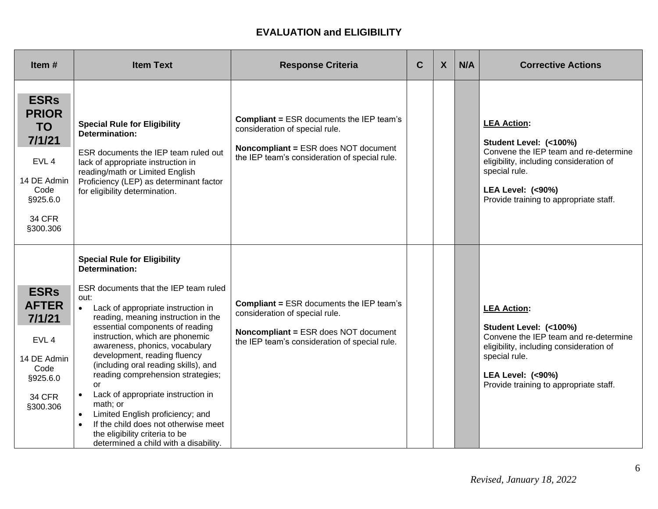| Item $#$                                                                                                                               | <b>Item Text</b>                                                                                                                                                                                                                                                                                                                                                                                                                                                                                                                                                                                                                                   | <b>Response Criteria</b>                                                                                                                                                          | $\mathbf C$ | $\boldsymbol{X}$ | N/A | <b>Corrective Actions</b>                                                                                                                                                                                                  |
|----------------------------------------------------------------------------------------------------------------------------------------|----------------------------------------------------------------------------------------------------------------------------------------------------------------------------------------------------------------------------------------------------------------------------------------------------------------------------------------------------------------------------------------------------------------------------------------------------------------------------------------------------------------------------------------------------------------------------------------------------------------------------------------------------|-----------------------------------------------------------------------------------------------------------------------------------------------------------------------------------|-------------|------------------|-----|----------------------------------------------------------------------------------------------------------------------------------------------------------------------------------------------------------------------------|
| <b>ESRs</b><br><b>PRIOR</b><br><b>TO</b><br>7/1/21<br>EVL <sub>4</sub><br>14 DE Admin<br>Code<br>§925.6.0<br><b>34 CFR</b><br>§300.306 | <b>Special Rule for Eligibility</b><br><b>Determination:</b><br>ESR documents the IEP team ruled out<br>lack of appropriate instruction in<br>reading/math or Limited English<br>Proficiency (LEP) as determinant factor<br>for eligibility determination.                                                                                                                                                                                                                                                                                                                                                                                         | <b>Compliant = ESR documents the IEP team's</b><br>consideration of special rule.<br><b>Noncompliant = ESR does NOT document</b><br>the IEP team's consideration of special rule. |             |                  |     | <b>LEA Action:</b><br>Student Level: (<100%)<br>Convene the IEP team and re-determine<br>eligibility, including consideration of<br>special rule.<br><b>LEA Level: (&lt;90%)</b><br>Provide training to appropriate staff. |
| <b>ESRs</b><br><b>AFTER</b><br>7/1/21<br>EVL <sub>4</sub><br>14 DE Admin<br>Code<br>§925.6.0<br><b>34 CFR</b><br>§300.306              | <b>Special Rule for Eligibility</b><br><b>Determination:</b><br>ESR documents that the IEP team ruled<br>out:<br>Lack of appropriate instruction in<br>reading, meaning instruction in the<br>essential components of reading<br>instruction, which are phonemic<br>awareness, phonics, vocabulary<br>development, reading fluency<br>(including oral reading skills), and<br>reading comprehension strategies;<br><b>or</b><br>Lack of appropriate instruction in<br>$\bullet$<br>math; or<br>Limited English proficiency; and<br>If the child does not otherwise meet<br>the eligibility criteria to be<br>determined a child with a disability. | <b>Compliant = ESR documents the IEP team's</b><br>consideration of special rule.<br><b>Noncompliant = ESR does NOT document</b><br>the IEP team's consideration of special rule. |             |                  |     | <b>LEA Action:</b><br>Student Level: (<100%)<br>Convene the IEP team and re-determine<br>eligibility, including consideration of<br>special rule.<br><b>LEA Level: (&lt;90%)</b><br>Provide training to appropriate staff. |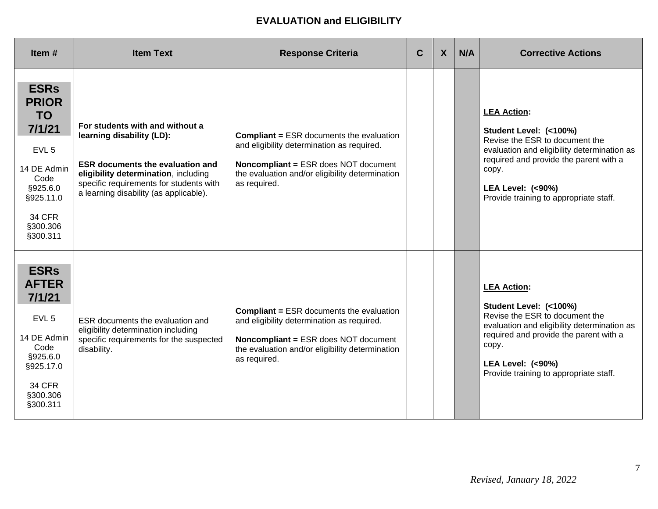| Item#                                                                                                                                                           | <b>Item Text</b>                                                                                                                                                                                                                     | <b>Response Criteria</b>                                                                                                                                                                                        | $\mathbf C$ | $\boldsymbol{X}$ | N/A | <b>Corrective Actions</b>                                                                                                                                                                                                                                 |
|-----------------------------------------------------------------------------------------------------------------------------------------------------------------|--------------------------------------------------------------------------------------------------------------------------------------------------------------------------------------------------------------------------------------|-----------------------------------------------------------------------------------------------------------------------------------------------------------------------------------------------------------------|-------------|------------------|-----|-----------------------------------------------------------------------------------------------------------------------------------------------------------------------------------------------------------------------------------------------------------|
| <b>ESRs</b><br><b>PRIOR</b><br><b>TO</b><br>7/1/21<br>EVL <sub>5</sub><br>14 DE Admin<br>Code<br>§925.6.0<br>§925.11.0<br><b>34 CFR</b><br>§300.306<br>§300.311 | For students with and without a<br>learning disability (LD):<br><b>ESR documents the evaluation and</b><br>eligibility determination, including<br>specific requirements for students with<br>a learning disability (as applicable). | <b>Compliant = ESR documents the evaluation</b><br>and eligibility determination as required.<br><b>Noncompliant = ESR does NOT document</b><br>the evaluation and/or eligibility determination<br>as required. |             |                  |     | <b>LEA Action:</b><br>Student Level: (<100%)<br>Revise the ESR to document the<br>evaluation and eligibility determination as<br>required and provide the parent with a<br>copy.<br><b>LEA Level: (&lt;90%)</b><br>Provide training to appropriate staff. |
| <b>ESRs</b><br><b>AFTER</b><br>7/1/21<br>EVL <sub>5</sub><br>14 DE Admin<br>Code<br>§925.6.0<br>§925.17.0<br><b>34 CFR</b><br>§300.306<br>§300.311              | ESR documents the evaluation and<br>eligibility determination including<br>specific requirements for the suspected<br>disability.                                                                                                    | <b>Compliant = ESR documents the evaluation</b><br>and eligibility determination as required.<br><b>Noncompliant = ESR does NOT document</b><br>the evaluation and/or eligibility determination<br>as required. |             |                  |     | <b>LEA Action:</b><br>Student Level: (<100%)<br>Revise the ESR to document the<br>evaluation and eligibility determination as<br>required and provide the parent with a<br>copy.<br><b>LEA Level: (&lt;90%)</b><br>Provide training to appropriate staff. |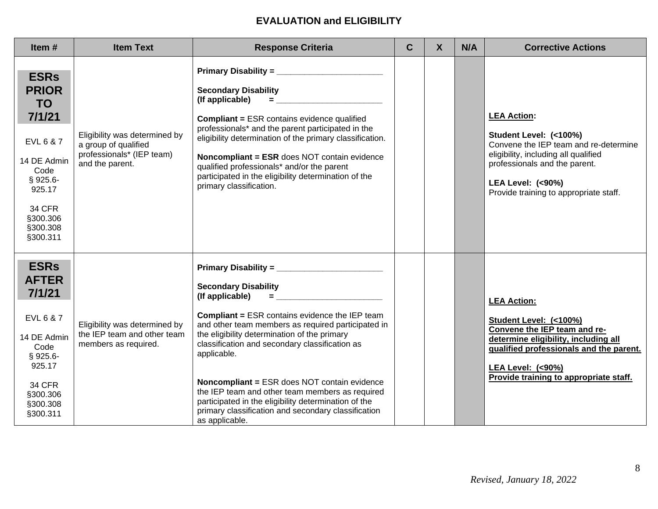| Item#                                                                                                                                                               | <b>Item Text</b>                                                                                      | <b>Response Criteria</b>                                                                                                                                                                                                                                                                                                                                                                                                                                                                                                                                                                                                            | $\mathbf C$ | $\boldsymbol{X}$ | N/A | <b>Corrective Actions</b>                                                                                                                                                                                                                |
|---------------------------------------------------------------------------------------------------------------------------------------------------------------------|-------------------------------------------------------------------------------------------------------|-------------------------------------------------------------------------------------------------------------------------------------------------------------------------------------------------------------------------------------------------------------------------------------------------------------------------------------------------------------------------------------------------------------------------------------------------------------------------------------------------------------------------------------------------------------------------------------------------------------------------------------|-------------|------------------|-----|------------------------------------------------------------------------------------------------------------------------------------------------------------------------------------------------------------------------------------------|
| <b>ESRs</b><br><b>PRIOR</b><br><b>TO</b><br>7/1/21<br>EVL 6 & 7<br>14 DE Admin<br>Code<br>$§ 925.6-$<br>925.17<br><b>34 CFR</b><br>§300.306<br>§300.308<br>§300.311 | Eligibility was determined by<br>a group of qualified<br>professionals* (IEP team)<br>and the parent. | <b>Secondary Disability</b><br>(If applicable)<br><b>Experience of the Community</b><br><b>Compliant = ESR contains evidence qualified</b><br>professionals* and the parent participated in the<br>eligibility determination of the primary classification.<br>Noncompliant = ESR does NOT contain evidence<br>qualified professionals* and/or the parent<br>participated in the eligibility determination of the<br>primary classification.                                                                                                                                                                                        |             |                  |     | <b>LEA Action:</b><br>Student Level: (<100%)<br>Convene the IEP team and re-determine<br>eligibility, including all qualified<br>professionals and the parent.<br><b>LEA Level: (&lt;90%)</b><br>Provide training to appropriate staff.  |
| <b>ESRs</b><br><b>AFTER</b><br>7/1/21<br>EVL 6 & 7<br>14 DE Admin<br>Code<br>$§ 925.6-$<br>925.17<br><b>34 CFR</b><br>§300.306<br>§300.308<br>§300.311              | Eligibility was determined by<br>the IEP team and other team<br>members as required.                  | <b>Secondary Disability</b><br>(If applicable)<br>$\qquad \qquad \blacksquare \qquad \qquad \blacksquare \qquad \qquad \blacksquare \qquad \blacksquare$<br><b>Compliant = ESR contains evidence the IEP team</b><br>and other team members as required participated in<br>the eligibility determination of the primary<br>classification and secondary classification as<br>applicable.<br><b>Noncompliant = ESR does NOT contain evidence</b><br>the IEP team and other team members as required<br>participated in the eligibility determination of the<br>primary classification and secondary classification<br>as applicable. |             |                  |     | <b>LEA Action:</b><br>Student Level: (<100%)<br>Convene the IEP team and re-<br>determine eligibility, including all<br>qualified professionals and the parent.<br><b>LEA Level: (&lt;90%)</b><br>Provide training to appropriate staff. |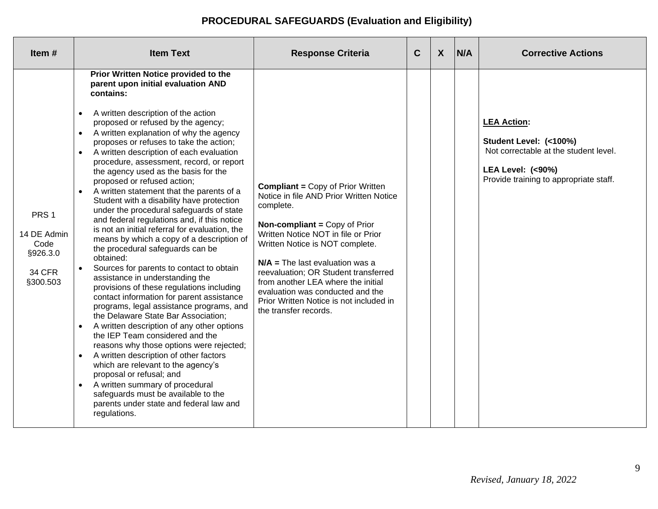# **PROCEDURAL SAFEGUARDS (Evaluation and Eligibility)**

| Item $#$                                                                         | <b>Item Text</b>                                                                                                                                                                                                                                                                                                                                                                                                                                                                                                                                                                                                                                                                                                                                                                                                                                                                                                                                                                                                                                                                                                                                                                                                                                                                                                                                                                                                                                                                       | <b>Response Criteria</b>                                                                                                                                                                                                                                                                                                                                                                                                                      | $\mathbf C$ | $\boldsymbol{X}$ | N/A | <b>Corrective Actions</b>                                                                                                                                      |
|----------------------------------------------------------------------------------|----------------------------------------------------------------------------------------------------------------------------------------------------------------------------------------------------------------------------------------------------------------------------------------------------------------------------------------------------------------------------------------------------------------------------------------------------------------------------------------------------------------------------------------------------------------------------------------------------------------------------------------------------------------------------------------------------------------------------------------------------------------------------------------------------------------------------------------------------------------------------------------------------------------------------------------------------------------------------------------------------------------------------------------------------------------------------------------------------------------------------------------------------------------------------------------------------------------------------------------------------------------------------------------------------------------------------------------------------------------------------------------------------------------------------------------------------------------------------------------|-----------------------------------------------------------------------------------------------------------------------------------------------------------------------------------------------------------------------------------------------------------------------------------------------------------------------------------------------------------------------------------------------------------------------------------------------|-------------|------------------|-----|----------------------------------------------------------------------------------------------------------------------------------------------------------------|
| PRS <sub>1</sub><br>14 DE Admin<br>Code<br>§926.3.0<br><b>34 CFR</b><br>§300.503 | Prior Written Notice provided to the<br>parent upon initial evaluation AND<br>contains:<br>A written description of the action<br>$\bullet$<br>proposed or refused by the agency;<br>A written explanation of why the agency<br>$\bullet$<br>proposes or refuses to take the action;<br>A written description of each evaluation<br>procedure, assessment, record, or report<br>the agency used as the basis for the<br>proposed or refused action;<br>A written statement that the parents of a<br>$\bullet$<br>Student with a disability have protection<br>under the procedural safeguards of state<br>and federal regulations and, if this notice<br>is not an initial referral for evaluation, the<br>means by which a copy of a description of<br>the procedural safeguards can be<br>obtained:<br>Sources for parents to contact to obtain<br>$\bullet$<br>assistance in understanding the<br>provisions of these regulations including<br>contact information for parent assistance<br>programs, legal assistance programs, and<br>the Delaware State Bar Association;<br>A written description of any other options<br>$\bullet$<br>the IEP Team considered and the<br>reasons why those options were rejected;<br>A written description of other factors<br>which are relevant to the agency's<br>proposal or refusal; and<br>A written summary of procedural<br>$\bullet$<br>safeguards must be available to the<br>parents under state and federal law and<br>regulations. | <b>Compliant = Copy of Prior Written</b><br>Notice in file AND Prior Written Notice<br>complete.<br><b>Non-compliant = Copy of Prior</b><br>Written Notice NOT in file or Prior<br>Written Notice is NOT complete.<br>$N/A$ = The last evaluation was a<br>reevaluation; OR Student transferred<br>from another LEA where the initial<br>evaluation was conducted and the<br>Prior Written Notice is not included in<br>the transfer records. |             |                  |     | <b>LEA Action:</b><br>Student Level: (<100%)<br>Not correctable at the student level.<br><b>LEA Level: (&lt;90%)</b><br>Provide training to appropriate staff. |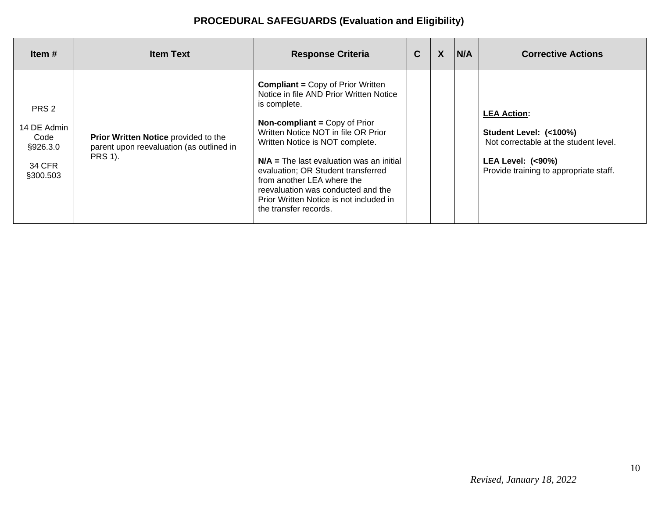# **PROCEDURAL SAFEGUARDS (Evaluation and Eligibility)**

| ltem #                                                         | <b>Item Text</b>                                                                                   | <b>Response Criteria</b>                                                                                                                                                                                                                                                                                                                                                                                                                          | $\mathbf C$ | X | N/A | <b>Corrective Actions</b>                                                                                                                              |
|----------------------------------------------------------------|----------------------------------------------------------------------------------------------------|---------------------------------------------------------------------------------------------------------------------------------------------------------------------------------------------------------------------------------------------------------------------------------------------------------------------------------------------------------------------------------------------------------------------------------------------------|-------------|---|-----|--------------------------------------------------------------------------------------------------------------------------------------------------------|
| PRS 2<br>14 DE Admin<br>Code<br>§926.3.0<br>34 CFR<br>§300.503 | Prior Written Notice provided to the<br>parent upon reevaluation (as outlined in<br><b>PRS 1).</b> | <b>Compliant = Copy of Prior Written</b><br>Notice in file AND Prior Written Notice<br>is complete.<br><b>Non-compliant = Copy of Prior</b><br>Written Notice NOT in file OR Prior<br>Written Notice is NOT complete.<br>$N/A$ = The last evaluation was an initial<br>evaluation; OR Student transferred<br>from another LEA where the<br>reevaluation was conducted and the<br>Prior Written Notice is not included in<br>the transfer records. |             |   |     | <b>LEA Action:</b><br>Student Level: (<100%)<br>Not correctable at the student level.<br>LEA Level: $(90\%)$<br>Provide training to appropriate staff. |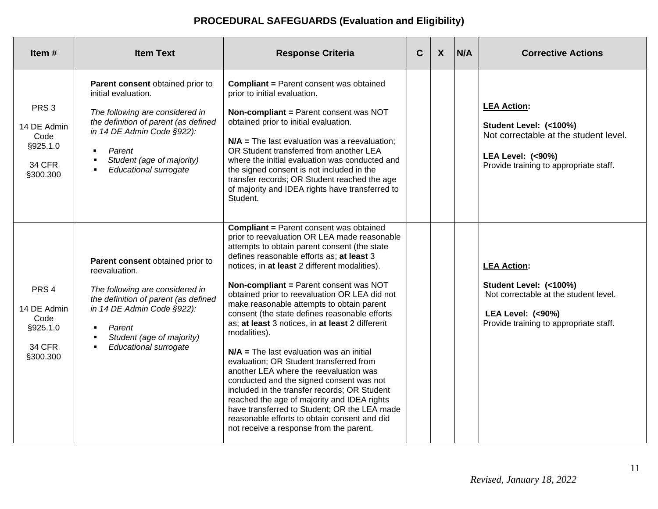# **PROCEDURAL SAFEGUARDS (Evaluation and Eligibility)**

| Item $#$                                                                         | <b>Item Text</b>                                                                                                                                                                                                                                                                 | <b>Response Criteria</b>                                                                                                                                                                                                                                                                                                                                                                                                                                                                                                                                                                                                                                                                                                                                                                                                                                                                                                          | $\mathbf c$ | $\boldsymbol{X}$ | N/A | <b>Corrective Actions</b>                                                                                                                                      |
|----------------------------------------------------------------------------------|----------------------------------------------------------------------------------------------------------------------------------------------------------------------------------------------------------------------------------------------------------------------------------|-----------------------------------------------------------------------------------------------------------------------------------------------------------------------------------------------------------------------------------------------------------------------------------------------------------------------------------------------------------------------------------------------------------------------------------------------------------------------------------------------------------------------------------------------------------------------------------------------------------------------------------------------------------------------------------------------------------------------------------------------------------------------------------------------------------------------------------------------------------------------------------------------------------------------------------|-------------|------------------|-----|----------------------------------------------------------------------------------------------------------------------------------------------------------------|
| PRS <sub>3</sub><br>14 DE Admin<br>Code<br>§925.1.0<br><b>34 CFR</b><br>§300.300 | Parent consent obtained prior to<br>initial evaluation.<br>The following are considered in<br>the definition of parent (as defined<br>in 14 DE Admin Code §922):<br>Parent<br>$\blacksquare$<br>Student (age of majority)<br>Educational surrogate<br>$\blacksquare$             | <b>Compliant = Parent consent was obtained</b><br>prior to initial evaluation.<br>Non-compliant = Parent consent was NOT<br>obtained prior to initial evaluation.<br>$N/A$ = The last evaluation was a reevaluation;<br>OR Student transferred from another LEA<br>where the initial evaluation was conducted and<br>the signed consent is not included in the<br>transfer records; OR Student reached the age<br>of majority and IDEA rights have transferred to<br>Student.                                                                                                                                                                                                                                                                                                                                                                                                                                                     |             |                  |     | <b>LEA Action:</b><br>Student Level: (<100%)<br>Not correctable at the student level.<br><b>LEA Level: (&lt;90%)</b><br>Provide training to appropriate staff. |
| PRS <sub>4</sub><br>14 DE Admin<br>Code<br>§925.1.0<br><b>34 CFR</b><br>§300.300 | Parent consent obtained prior to<br>reevaluation.<br>The following are considered in<br>the definition of parent (as defined<br>in 14 DE Admin Code §922):<br>Parent<br>$\blacksquare$<br>Student (age of majority)<br>$\blacksquare$<br>Educational surrogate<br>$\blacksquare$ | <b>Compliant = Parent consent was obtained</b><br>prior to reevaluation OR LEA made reasonable<br>attempts to obtain parent consent (the state<br>defines reasonable efforts as; at least 3<br>notices, in at least 2 different modalities).<br>Non-compliant = Parent consent was NOT<br>obtained prior to reevaluation OR LEA did not<br>make reasonable attempts to obtain parent<br>consent (the state defines reasonable efforts<br>as; at least 3 notices, in at least 2 different<br>modalities).<br>$N/A$ = The last evaluation was an initial<br>evaluation; OR Student transferred from<br>another LEA where the reevaluation was<br>conducted and the signed consent was not<br>included in the transfer records; OR Student<br>reached the age of majority and IDEA rights<br>have transferred to Student; OR the LEA made<br>reasonable efforts to obtain consent and did<br>not receive a response from the parent. |             |                  |     | <b>LEA Action:</b><br>Student Level: (<100%)<br>Not correctable at the student level.<br><b>LEA Level: (&lt;90%)</b><br>Provide training to appropriate staff. |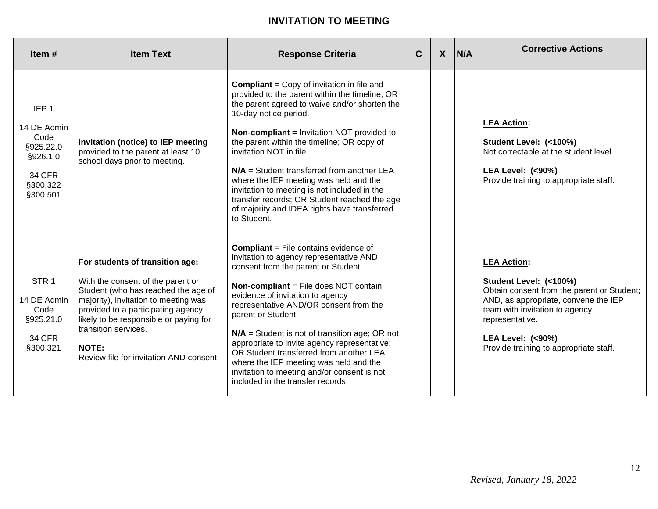# **INVITATION TO MEETING**

| Item $#$                                                                                                  | <b>Item Text</b>                                                                                                                                                                                                                                                                                                       | <b>Response Criteria</b>                                                                                                                                                                                                                                                                                                                                                                                                                                                                                                                                             | $\mathbf C$ | X | N/A | <b>Corrective Actions</b>                                                                                                                                                                                                                                        |
|-----------------------------------------------------------------------------------------------------------|------------------------------------------------------------------------------------------------------------------------------------------------------------------------------------------------------------------------------------------------------------------------------------------------------------------------|----------------------------------------------------------------------------------------------------------------------------------------------------------------------------------------------------------------------------------------------------------------------------------------------------------------------------------------------------------------------------------------------------------------------------------------------------------------------------------------------------------------------------------------------------------------------|-------------|---|-----|------------------------------------------------------------------------------------------------------------------------------------------------------------------------------------------------------------------------------------------------------------------|
| IEP <sub>1</sub><br>14 DE Admin<br>Code<br>§925.22.0<br>§926.1.0<br><b>34 CFR</b><br>§300.322<br>§300.501 | Invitation (notice) to IEP meeting<br>provided to the parent at least 10<br>school days prior to meeting.                                                                                                                                                                                                              | <b>Compliant = Copy of invitation in file and</b><br>provided to the parent within the timeline; OR<br>the parent agreed to waive and/or shorten the<br>10-day notice period.<br><b>Non-compliant = Invitation NOT provided to</b><br>the parent within the timeline; OR copy of<br>invitation NOT in file.<br>$N/A$ = Student transferred from another LEA<br>where the IEP meeting was held and the<br>invitation to meeting is not included in the<br>transfer records; OR Student reached the age<br>of majority and IDEA rights have transferred<br>to Student. |             |   |     | <b>LEA Action:</b><br>Student Level: (<100%)<br>Not correctable at the student level.<br><b>LEA Level: (&lt;90%)</b><br>Provide training to appropriate staff.                                                                                                   |
| STR <sub>1</sub><br>14 DE Admin<br>Code<br>§925.21.0<br><b>34 CFR</b><br>§300.321                         | For students of transition age:<br>With the consent of the parent or<br>Student (who has reached the age of<br>majority), invitation to meeting was<br>provided to a participating agency<br>likely to be responsible or paying for<br>transition services.<br><b>NOTE:</b><br>Review file for invitation AND consent. | <b>Compliant</b> = File contains evidence of<br>invitation to agency representative AND<br>consent from the parent or Student.<br><b>Non-compliant = File does NOT contain</b><br>evidence of invitation to agency<br>representative AND/OR consent from the<br>parent or Student.<br>$N/A$ = Student is not of transition age; OR not<br>appropriate to invite agency representative;<br>OR Student transferred from another LEA<br>where the IEP meeting was held and the<br>invitation to meeting and/or consent is not<br>included in the transfer records.      |             |   |     | <b>LEA Action:</b><br>Student Level: (<100%)<br>Obtain consent from the parent or Student;<br>AND, as appropriate, convene the IEP<br>team with invitation to agency<br>representative.<br><b>LEA Level: (&lt;90%)</b><br>Provide training to appropriate staff. |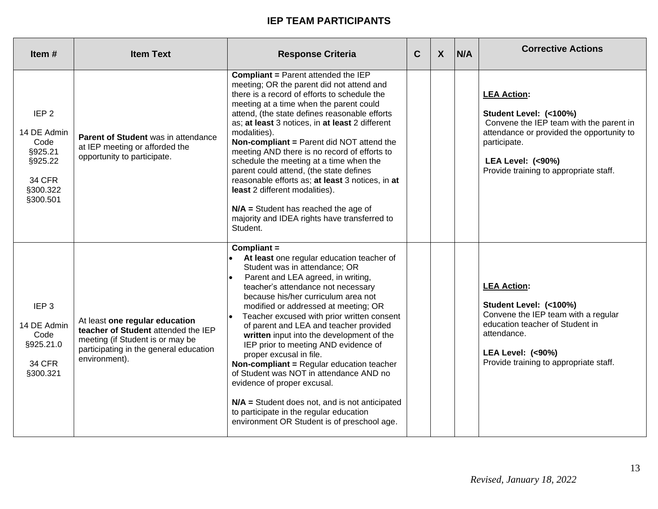| Item $#$                                                                                               | <b>Item Text</b>                                                                                                                                                     | <b>Response Criteria</b>                                                                                                                                                                                                                                                                                                                                                                                                                                                                                                                                                                                                                                                                                                                   | $\mathbf C$ | $\boldsymbol{X}$ | N/A | <b>Corrective Actions</b>                                                                                                                                                                                                     |
|--------------------------------------------------------------------------------------------------------|----------------------------------------------------------------------------------------------------------------------------------------------------------------------|--------------------------------------------------------------------------------------------------------------------------------------------------------------------------------------------------------------------------------------------------------------------------------------------------------------------------------------------------------------------------------------------------------------------------------------------------------------------------------------------------------------------------------------------------------------------------------------------------------------------------------------------------------------------------------------------------------------------------------------------|-------------|------------------|-----|-------------------------------------------------------------------------------------------------------------------------------------------------------------------------------------------------------------------------------|
| IEP <sub>2</sub><br>14 DE Admin<br>Code<br>§925.21<br>§925.22<br><b>34 CFR</b><br>§300.322<br>§300.501 | <b>Parent of Student was in attendance</b><br>at IEP meeting or afforded the<br>opportunity to participate.                                                          | <b>Compliant = Parent attended the IEP</b><br>meeting; OR the parent did not attend and<br>there is a record of efforts to schedule the<br>meeting at a time when the parent could<br>attend, (the state defines reasonable efforts<br>as; at least 3 notices, in at least 2 different<br>modalities).<br>Non-compliant = Parent did NOT attend the<br>meeting AND there is no record of efforts to<br>schedule the meeting at a time when the<br>parent could attend, (the state defines<br>reasonable efforts as; at least 3 notices, in at<br>least 2 different modalities).<br>$N/A$ = Student has reached the age of<br>majority and IDEA rights have transferred to<br>Student.                                                      |             |                  |     | <b>LEA Action:</b><br>Student Level: (<100%)<br>Convene the IEP team with the parent in<br>attendance or provided the opportunity to<br>participate.<br><b>LEA Level: (&lt;90%)</b><br>Provide training to appropriate staff. |
| IEP <sub>3</sub><br>14 DE Admin<br>Code<br>§925.21.0<br><b>34 CFR</b><br>§300.321                      | At least one regular education<br>teacher of Student attended the IEP<br>meeting (if Student is or may be<br>participating in the general education<br>environment). | Compliant $=$<br>At least one regular education teacher of<br>Student was in attendance; OR<br>Parent and LEA agreed, in writing,<br>teacher's attendance not necessary<br>because his/her curriculum area not<br>modified or addressed at meeting; OR<br>Teacher excused with prior written consent<br>of parent and LEA and teacher provided<br>written input into the development of the<br>IEP prior to meeting AND evidence of<br>proper excusal in file.<br><b>Non-compliant = Regular education teacher</b><br>of Student was NOT in attendance AND no<br>evidence of proper excusal.<br>$N/A$ = Student does not, and is not anticipated<br>to participate in the regular education<br>environment OR Student is of preschool age. |             |                  |     | <b>LEA Action:</b><br>Student Level: (<100%)<br>Convene the IEP team with a regular<br>education teacher of Student in<br>attendance.<br><b>LEA Level: (&lt;90%)</b><br>Provide training to appropriate staff.                |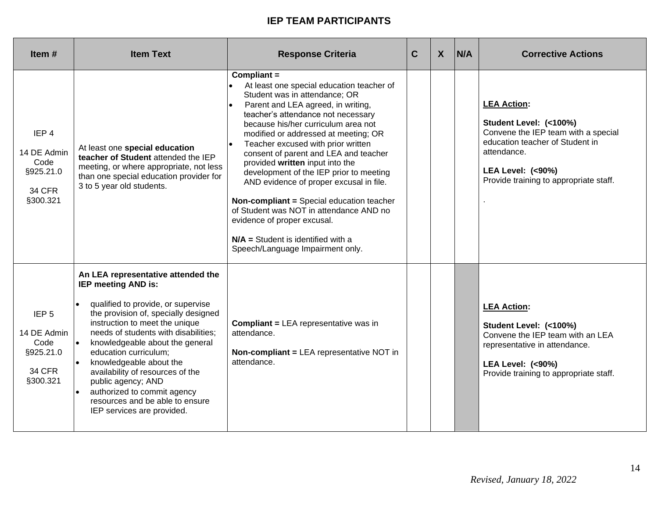| Item #                                                                            | <b>Item Text</b>                                                                                                                                                                                                                                                                                                                                                                                                                                                   | <b>Response Criteria</b>                                                                                                                                                                                                                                                                                                                                                                                                                                                                                                                                                                                                                                              | $\mathbf C$ | $\boldsymbol{X}$ | N/A | <b>Corrective Actions</b>                                                                                                                                                                                      |
|-----------------------------------------------------------------------------------|--------------------------------------------------------------------------------------------------------------------------------------------------------------------------------------------------------------------------------------------------------------------------------------------------------------------------------------------------------------------------------------------------------------------------------------------------------------------|-----------------------------------------------------------------------------------------------------------------------------------------------------------------------------------------------------------------------------------------------------------------------------------------------------------------------------------------------------------------------------------------------------------------------------------------------------------------------------------------------------------------------------------------------------------------------------------------------------------------------------------------------------------------------|-------------|------------------|-----|----------------------------------------------------------------------------------------------------------------------------------------------------------------------------------------------------------------|
| IEP <sub>4</sub><br>14 DE Admin<br>Code<br>§925.21.0<br><b>34 CFR</b><br>§300.321 | At least one special education<br>teacher of Student attended the IEP<br>meeting, or where appropriate, not less<br>than one special education provider for<br>3 to 5 year old students.                                                                                                                                                                                                                                                                           | Compliant =<br>At least one special education teacher of<br>Student was in attendance; OR<br>Parent and LEA agreed, in writing,<br>l.<br>teacher's attendance not necessary<br>because his/her curriculum area not<br>modified or addressed at meeting; OR<br>Teacher excused with prior written<br>consent of parent and LEA and teacher<br>provided written input into the<br>development of the IEP prior to meeting<br>AND evidence of proper excusal in file.<br>Non-compliant = Special education teacher<br>of Student was NOT in attendance AND no<br>evidence of proper excusal.<br>$N/A$ = Student is identified with a<br>Speech/Language Impairment only. |             |                  |     | <b>LEA Action:</b><br>Student Level: (<100%)<br>Convene the IEP team with a special<br>education teacher of Student in<br>attendance.<br><b>LEA Level: (&lt;90%)</b><br>Provide training to appropriate staff. |
| IEP <sub>5</sub><br>14 DE Admin<br>Code<br>§925.21.0<br><b>34 CFR</b><br>§300.321 | An LEA representative attended the<br>IEP meeting AND is:<br>qualified to provide, or supervise<br>the provision of, specially designed<br>instruction to meet the unique<br>needs of students with disabilities;<br>knowledgeable about the general<br>education curriculum;<br>knowledgeable about the<br>availability of resources of the<br>public agency; AND<br>authorized to commit agency<br>resources and be able to ensure<br>IEP services are provided. | <b>Compliant = LEA representative was in</b><br>attendance.<br>Non-compliant = LEA representative NOT in<br>attendance.                                                                                                                                                                                                                                                                                                                                                                                                                                                                                                                                               |             |                  |     | <b>LEA Action:</b><br>Student Level: (<100%)<br>Convene the IEP team with an LEA<br>representative in attendance.<br><b>LEA Level: (&lt;90%)</b><br>Provide training to appropriate staff.                     |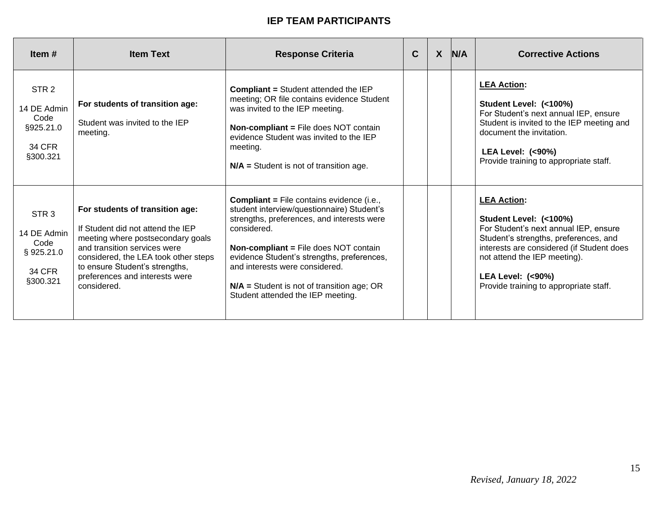| Item $#$                                                                          | <b>Item Text</b>                                                                                                                                                                                                                                                     | <b>Response Criteria</b>                                                                                                                                                                                                                                                                                                                                                         | $\mathbf C$ | X | N/A | <b>Corrective Actions</b>                                                                                                                                                                                                                                                            |
|-----------------------------------------------------------------------------------|----------------------------------------------------------------------------------------------------------------------------------------------------------------------------------------------------------------------------------------------------------------------|----------------------------------------------------------------------------------------------------------------------------------------------------------------------------------------------------------------------------------------------------------------------------------------------------------------------------------------------------------------------------------|-------------|---|-----|--------------------------------------------------------------------------------------------------------------------------------------------------------------------------------------------------------------------------------------------------------------------------------------|
| STR <sub>2</sub><br>14 DE Admin<br>Code<br>§925.21.0<br>34 CFR<br>§300.321        | For students of transition age:<br>Student was invited to the IEP<br>meeting.                                                                                                                                                                                        | <b>Compliant = Student attended the IEP</b><br>meeting; OR file contains evidence Student<br>was invited to the IEP meeting.<br><b>Non-compliant = File does NOT contain</b><br>evidence Student was invited to the IEP<br>meeting.<br>$N/A$ = Student is not of transition age.                                                                                                 |             |   |     | <b>LEA Action:</b><br>Student Level: (<100%)<br>For Student's next annual IEP, ensure<br>Student is invited to the IEP meeting and<br>document the invitation.<br>LEA Level: $(90\%)$<br>Provide training to appropriate staff.                                                      |
| STR <sub>3</sub><br>14 DE Admin<br>Code<br>§925.21.0<br><b>34 CFR</b><br>§300.321 | For students of transition age:<br>If Student did not attend the IEP<br>meeting where postsecondary goals<br>and transition services were<br>considered, the LEA took other steps<br>to ensure Student's strengths,<br>preferences and interests were<br>considered. | <b>Compliant = File contains evidence (i.e.,</b><br>student interview/questionnaire) Student's<br>strengths, preferences, and interests were<br>considered.<br><b>Non-compliant = File does NOT contain</b><br>evidence Student's strengths, preferences,<br>and interests were considered.<br>$N/A$ = Student is not of transition age; OR<br>Student attended the IEP meeting. |             |   |     | <b>LEA Action:</b><br>Student Level: (<100%)<br>For Student's next annual IEP, ensure<br>Student's strengths, preferences, and<br>interests are considered (if Student does<br>not attend the IEP meeting).<br><b>LEA Level: (&lt;90%)</b><br>Provide training to appropriate staff. |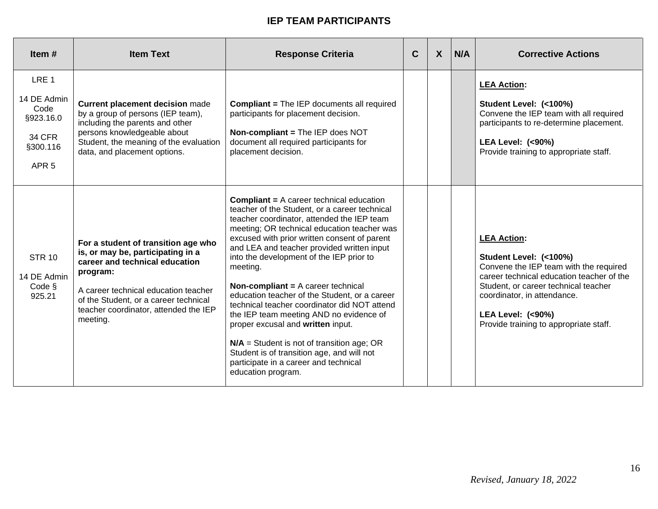| Item $#$                                                                                              | <b>Item Text</b>                                                                                                                                                                                                                                             | <b>Response Criteria</b>                                                                                                                                                                                                                                                                                                                                                                                                                                                                                                                                                                                                                                                                                                                                    | C | $\boldsymbol{X}$ | N/A | <b>Corrective Actions</b>                                                                                                                                                                                                                                                           |
|-------------------------------------------------------------------------------------------------------|--------------------------------------------------------------------------------------------------------------------------------------------------------------------------------------------------------------------------------------------------------------|-------------------------------------------------------------------------------------------------------------------------------------------------------------------------------------------------------------------------------------------------------------------------------------------------------------------------------------------------------------------------------------------------------------------------------------------------------------------------------------------------------------------------------------------------------------------------------------------------------------------------------------------------------------------------------------------------------------------------------------------------------------|---|------------------|-----|-------------------------------------------------------------------------------------------------------------------------------------------------------------------------------------------------------------------------------------------------------------------------------------|
| LRE <sub>1</sub><br>14 DE Admin<br>Code<br>§923.16.0<br><b>34 CFR</b><br>§300.116<br>APR <sub>5</sub> | <b>Current placement decision made</b><br>by a group of persons (IEP team),<br>including the parents and other<br>persons knowledgeable about<br>Student, the meaning of the evaluation<br>data, and placement options.                                      | <b>Compliant = The IEP documents all required</b><br>participants for placement decision.<br>Non-compliant = The IEP does NOT<br>document all required participants for<br>placement decision.                                                                                                                                                                                                                                                                                                                                                                                                                                                                                                                                                              |   |                  |     | <b>LEA Action:</b><br>Student Level: (<100%)<br>Convene the IEP team with all required<br>participants to re-determine placement.<br><b>LEA Level: (&lt;90%)</b><br>Provide training to appropriate staff.                                                                          |
| <b>STR 10</b><br>14 DE Admin<br>Code §<br>925.21                                                      | For a student of transition age who<br>is, or may be, participating in a<br>career and technical education<br>program:<br>A career technical education teacher<br>of the Student, or a career technical<br>teacher coordinator, attended the IEP<br>meeting. | <b>Compliant = A career technical education</b><br>teacher of the Student, or a career technical<br>teacher coordinator, attended the IEP team<br>meeting; OR technical education teacher was<br>excused with prior written consent of parent<br>and LEA and teacher provided written input<br>into the development of the IEP prior to<br>meeting.<br><b>Non-compliant = <math>A</math> career technical</b><br>education teacher of the Student, or a career<br>technical teacher coordinator did NOT attend<br>the IEP team meeting AND no evidence of<br>proper excusal and written input.<br>$N/A$ = Student is not of transition age; OR<br>Student is of transition age, and will not<br>participate in a career and technical<br>education program. |   |                  |     | <b>LEA Action:</b><br>Student Level: (<100%)<br>Convene the IEP team with the required<br>career technical education teacher of the<br>Student, or career technical teacher<br>coordinator, in attendance.<br><b>LEA Level: (&lt;90%)</b><br>Provide training to appropriate staff. |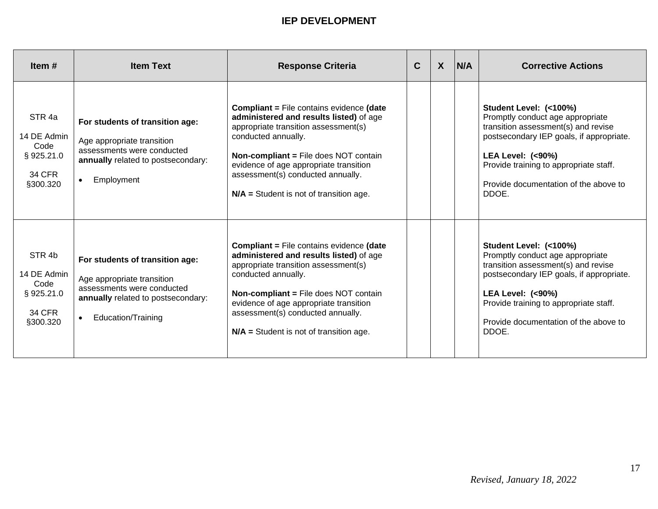| Item $#$                                                                           | <b>Item Text</b>                                                                                                                                                     | <b>Response Criteria</b>                                                                                                                                                                                                                                                                                                              | $\mathbf C$ | $\boldsymbol{X}$ | N/A | <b>Corrective Actions</b>                                                                                                                                                                                                                                                |
|------------------------------------------------------------------------------------|----------------------------------------------------------------------------------------------------------------------------------------------------------------------|---------------------------------------------------------------------------------------------------------------------------------------------------------------------------------------------------------------------------------------------------------------------------------------------------------------------------------------|-------------|------------------|-----|--------------------------------------------------------------------------------------------------------------------------------------------------------------------------------------------------------------------------------------------------------------------------|
| STR <sub>4a</sub><br>14 DE Admin<br>Code<br>§925.21.0<br><b>34 CFR</b><br>§300.320 | For students of transition age:<br>Age appropriate transition<br>assessments were conducted<br>annually related to postsecondary:<br>Employment<br>$\bullet$         | <b>Compliant = File contains evidence (date</b><br>administered and results listed) of age<br>appropriate transition assessment(s)<br>conducted annually.<br><b>Non-compliant = File does NOT contain</b><br>evidence of age appropriate transition<br>assessment(s) conducted annually.<br>$N/A$ = Student is not of transition age. |             |                  |     | Student Level: (<100%)<br>Promptly conduct age appropriate<br>transition assessment(s) and revise<br>postsecondary IEP goals, if appropriate.<br><b>LEA Level: (&lt;90%)</b><br>Provide training to appropriate staff.<br>Provide documentation of the above to<br>DDOE. |
| STR <sub>4b</sub><br>14 DE Admin<br>Code<br>§925.21.0<br><b>34 CFR</b><br>§300.320 | For students of transition age:<br>Age appropriate transition<br>assessments were conducted<br>annually related to postsecondary:<br>Education/Training<br>$\bullet$ | <b>Compliant = File contains evidence (date</b><br>administered and results listed) of age<br>appropriate transition assessment(s)<br>conducted annually.<br><b>Non-compliant = File does NOT contain</b><br>evidence of age appropriate transition<br>assessment(s) conducted annually.<br>$N/A$ = Student is not of transition age. |             |                  |     | Student Level: (<100%)<br>Promptly conduct age appropriate<br>transition assessment(s) and revise<br>postsecondary IEP goals, if appropriate.<br><b>LEA Level: (&lt;90%)</b><br>Provide training to appropriate staff.<br>Provide documentation of the above to<br>DDOE. |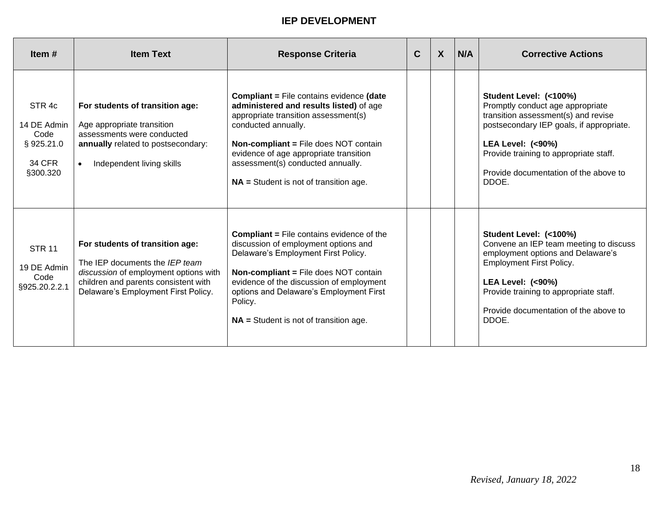| Item $#$                                                                           | <b>Item Text</b>                                                                                                                                                                          | <b>Response Criteria</b>                                                                                                                                                                                                                                                                                                      | C | $\boldsymbol{X}$ | N/A | <b>Corrective Actions</b>                                                                                                                                                                                                                                                |
|------------------------------------------------------------------------------------|-------------------------------------------------------------------------------------------------------------------------------------------------------------------------------------------|-------------------------------------------------------------------------------------------------------------------------------------------------------------------------------------------------------------------------------------------------------------------------------------------------------------------------------|---|------------------|-----|--------------------------------------------------------------------------------------------------------------------------------------------------------------------------------------------------------------------------------------------------------------------------|
| STR <sub>4c</sub><br>14 DE Admin<br>Code<br>§925.21.0<br><b>34 CFR</b><br>§300.320 | For students of transition age:<br>Age appropriate transition<br>assessments were conducted<br>annually related to postsecondary:<br>Independent living skills<br>$\bullet$               | <b>Compliant = File contains evidence (date</b><br>administered and results listed) of age<br>appropriate transition assessment(s)<br>conducted annually.<br>Non-compliant = File does NOT contain<br>evidence of age appropriate transition<br>assessment(s) conducted annually.<br>$NA$ = Student is not of transition age. |   |                  |     | Student Level: (<100%)<br>Promptly conduct age appropriate<br>transition assessment(s) and revise<br>postsecondary IEP goals, if appropriate.<br><b>LEA Level: (&lt;90%)</b><br>Provide training to appropriate staff.<br>Provide documentation of the above to<br>DDOE. |
| <b>STR 11</b><br>19 DE Admin<br>Code<br>§925.20.2.2.1                              | For students of transition age:<br>The IEP documents the IEP team<br>discussion of employment options with<br>children and parents consistent with<br>Delaware's Employment First Policy. | <b>Compliant = File contains evidence of the</b><br>discussion of employment options and<br>Delaware's Employment First Policy.<br><b>Non-compliant = File does NOT contain</b><br>evidence of the discussion of employment<br>options and Delaware's Employment First<br>Policy.<br>$NA$ = Student is not of transition age. |   |                  |     | Student Level: (<100%)<br>Convene an IEP team meeting to discuss<br>employment options and Delaware's<br><b>Employment First Policy.</b><br><b>LEA Level: (&lt;90%)</b><br>Provide training to appropriate staff.<br>Provide documentation of the above to<br>DDOE.      |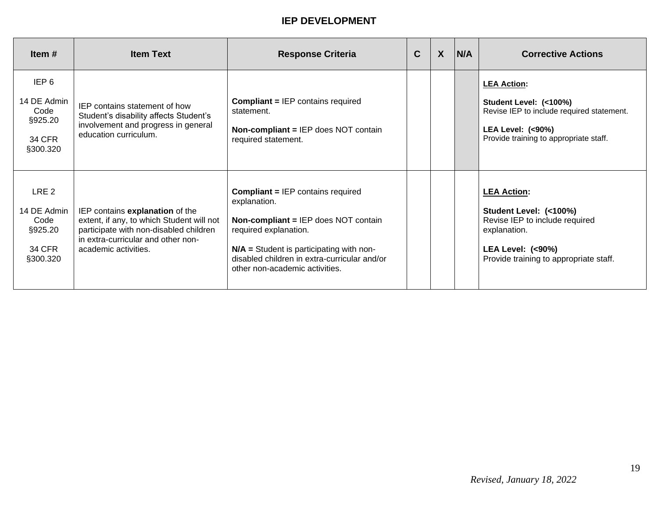| Item $#$                                                                 | <b>Item Text</b>                                                                                                                                                                     | <b>Response Criteria</b>                                                                                                                                                                                                                                         | $\mathbf C$ | $\boldsymbol{X}$ | N/A | <b>Corrective Actions</b>                                                                                                                                               |
|--------------------------------------------------------------------------|--------------------------------------------------------------------------------------------------------------------------------------------------------------------------------------|------------------------------------------------------------------------------------------------------------------------------------------------------------------------------------------------------------------------------------------------------------------|-------------|------------------|-----|-------------------------------------------------------------------------------------------------------------------------------------------------------------------------|
| IEP <sub>6</sub><br>14 DE Admin<br>Code<br>§925.20<br>34 CFR<br>§300.320 | IEP contains statement of how<br>Student's disability affects Student's<br>involvement and progress in general<br>education curriculum.                                              | <b>Compliant = IEP contains required</b><br>statement.<br><b>Non-compliant = IEP does NOT contain</b><br>required statement.                                                                                                                                     |             |                  |     | <b>LEA Action:</b><br>Student Level: (<100%)<br>Revise IEP to include required statement.<br><b>LEA Level: (&lt;90%)</b><br>Provide training to appropriate staff.      |
| LRE 2<br>14 DE Admin<br>Code<br>§925.20<br>34 CFR<br>§300.320            | IEP contains explanation of the<br>extent, if any, to which Student will not<br>participate with non-disabled children<br>in extra-curricular and other non-<br>academic activities. | <b>Compliant = IEP contains required</b><br>explanation.<br><b>Non-compliant = IEP does NOT contain</b><br>required explanation.<br>$N/A$ = Student is participating with non-<br>disabled children in extra-curricular and/or<br>other non-academic activities. |             |                  |     | <b>LEA Action:</b><br>Student Level: (<100%)<br>Revise IEP to include required<br>explanation.<br><b>LEA Level: (&lt;90%)</b><br>Provide training to appropriate staff. |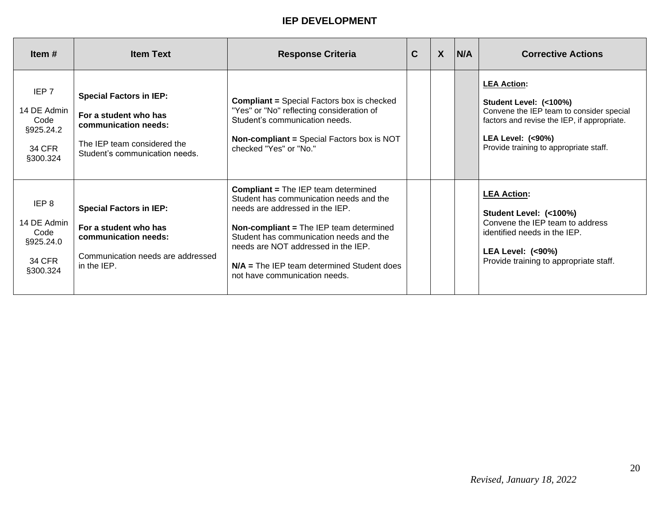| Item $#$                                                        | <b>Item Text</b>                                                                                                                                 | <b>Response Criteria</b>                                                                                                                                                                                                                                                                                                               | $\mathbf{C}$ | $\boldsymbol{X}$ | N/A | <b>Corrective Actions</b>                                                                                                                                                                                        |
|-----------------------------------------------------------------|--------------------------------------------------------------------------------------------------------------------------------------------------|----------------------------------------------------------------------------------------------------------------------------------------------------------------------------------------------------------------------------------------------------------------------------------------------------------------------------------------|--------------|------------------|-----|------------------------------------------------------------------------------------------------------------------------------------------------------------------------------------------------------------------|
| IEP 7<br>14 DE Admin<br>Code<br>§925.24.2<br>34 CFR<br>§300.324 | <b>Special Factors in IEP:</b><br>For a student who has<br>communication needs:<br>The IEP team considered the<br>Student's communication needs. | <b>Compliant = Special Factors box is checked</b><br>"Yes" or "No" reflecting consideration of<br>Student's communication needs.<br><b>Non-compliant = Special Factors box is NOT</b><br>checked "Yes" or "No."                                                                                                                        |              |                  |     | <b>LEA Action:</b><br>Student Level: (<100%)<br>Convene the IEP team to consider special<br>factors and revise the IEP, if appropriate.<br><b>LEA Level: (&lt;90%)</b><br>Provide training to appropriate staff. |
| IEP 8<br>14 DE Admin<br>Code<br>§925.24.0<br>34 CFR<br>§300.324 | <b>Special Factors in IEP:</b><br>For a student who has<br>communication needs:<br>Communication needs are addressed<br>in the IEP.              | <b>Compliant = The IEP team determined</b><br>Student has communication needs and the<br>needs are addressed in the IEP.<br>Non-compliant = The IEP team determined<br>Student has communication needs and the<br>needs are NOT addressed in the IEP.<br>$N/A$ = The IEP team determined Student does<br>not have communication needs. |              |                  |     | <b>LEA Action:</b><br>Student Level: (<100%)<br>Convene the IEP team to address<br>identified needs in the IEP.<br><b>LEA Level: (&lt;90%)</b><br>Provide training to appropriate staff.                         |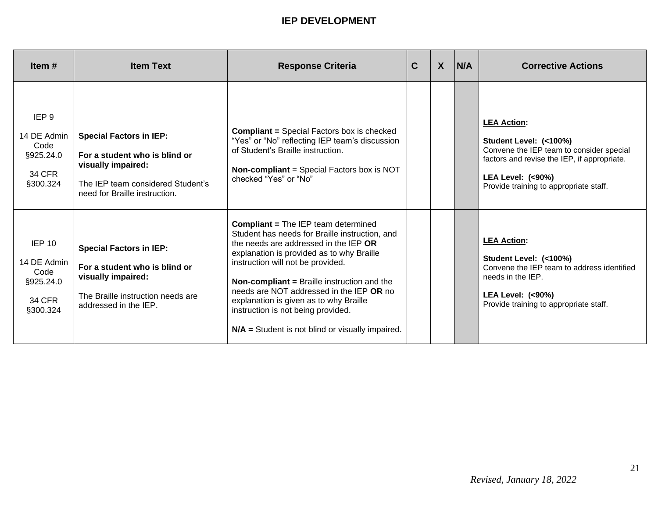| Item $#$                                                                          | <b>Item Text</b>                                                                                                                                            | <b>Response Criteria</b>                                                                                                                                                                                                                                                                                                                                                                                                                                        | $\mathbf C$ | $\boldsymbol{X}$ | <b>N/A</b> | <b>Corrective Actions</b>                                                                                                                                                                                        |
|-----------------------------------------------------------------------------------|-------------------------------------------------------------------------------------------------------------------------------------------------------------|-----------------------------------------------------------------------------------------------------------------------------------------------------------------------------------------------------------------------------------------------------------------------------------------------------------------------------------------------------------------------------------------------------------------------------------------------------------------|-------------|------------------|------------|------------------------------------------------------------------------------------------------------------------------------------------------------------------------------------------------------------------|
| IEP <sub>9</sub><br>14 DE Admin<br>Code<br>§925.24.0<br><b>34 CFR</b><br>§300.324 | <b>Special Factors in IEP:</b><br>For a student who is blind or<br>visually impaired:<br>The IEP team considered Student's<br>need for Braille instruction. | <b>Compliant = Special Factors box is checked</b><br>"Yes" or "No" reflecting IEP team's discussion<br>of Student's Braille instruction.<br><b>Non-compliant</b> = Special Factors box is NOT<br>checked "Yes" or "No"                                                                                                                                                                                                                                          |             |                  |            | <b>LEA Action:</b><br>Student Level: (<100%)<br>Convene the IEP team to consider special<br>factors and revise the IEP, if appropriate.<br><b>LEA Level: (&lt;90%)</b><br>Provide training to appropriate staff. |
| <b>IEP 10</b><br>14 DE Admin<br>Code<br>§925.24.0<br><b>34 CFR</b><br>§300.324    | <b>Special Factors in IEP:</b><br>For a student who is blind or<br>visually impaired:<br>The Braille instruction needs are<br>addressed in the IEP.         | <b>Compliant = The IEP team determined</b><br>Student has needs for Braille instruction, and<br>the needs are addressed in the IEP OR<br>explanation is provided as to why Braille<br>instruction will not be provided.<br><b>Non-compliant = Braille instruction and the</b><br>needs are NOT addressed in the IEP OR no<br>explanation is given as to why Braille<br>instruction is not being provided.<br>$N/A$ = Student is not blind or visually impaired. |             |                  |            | <b>LEA Action:</b><br>Student Level: (<100%)<br>Convene the IEP team to address identified<br>needs in the IEP.<br><b>LEA Level: (&lt;90%)</b><br>Provide training to appropriate staff.                         |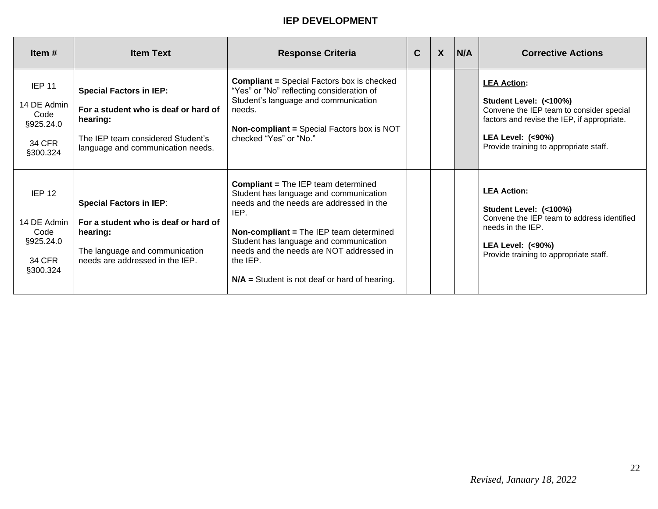| Item $#$                                                                           | <b>Item Text</b>                                                                                                                                             | <b>Response Criteria</b>                                                                                                                                                                                                                                                                                                                 | C | $\boldsymbol{X}$ | <b>IN/A</b> | <b>Corrective Actions</b>                                                                                                                                                                                        |
|------------------------------------------------------------------------------------|--------------------------------------------------------------------------------------------------------------------------------------------------------------|------------------------------------------------------------------------------------------------------------------------------------------------------------------------------------------------------------------------------------------------------------------------------------------------------------------------------------------|---|------------------|-------------|------------------------------------------------------------------------------------------------------------------------------------------------------------------------------------------------------------------|
| <b>IEP 11</b><br>14 DE Admin<br>Code<br>§925.24.0<br><b>34 CFR</b><br>§300.324     | <b>Special Factors in IEP:</b><br>For a student who is deaf or hard of<br>hearing:<br>The IEP team considered Student's<br>language and communication needs. | <b>Compliant = Special Factors box is checked</b><br>"Yes" or "No" reflecting consideration of<br>Student's language and communication<br>needs.<br><b>Non-compliant = Special Factors box is NOT</b><br>checked "Yes" or "No."                                                                                                          |   |                  |             | <b>LEA Action:</b><br>Student Level: (<100%)<br>Convene the IEP team to consider special<br>factors and revise the IEP, if appropriate.<br><b>LEA Level: (&lt;90%)</b><br>Provide training to appropriate staff. |
| IEP <sub>12</sub><br>14 DE Admin<br>Code<br>§925.24.0<br><b>34 CFR</b><br>§300.324 | <b>Special Factors in IEP:</b><br>For a student who is deaf or hard of<br>hearing:<br>The language and communication<br>needs are addressed in the IEP.      | <b>Compliant = The IEP team determined</b><br>Student has language and communication<br>needs and the needs are addressed in the<br>IEP.<br>Non-compliant = The IEP team determined<br>Student has language and communication<br>needs and the needs are NOT addressed in<br>the IEP.<br>$N/A$ = Student is not deaf or hard of hearing. |   |                  |             | <b>LEA Action:</b><br>Student Level: (<100%)<br>Convene the IEP team to address identified<br>needs in the IEP.<br><b>LEA Level: (&lt;90%)</b><br>Provide training to appropriate staff.                         |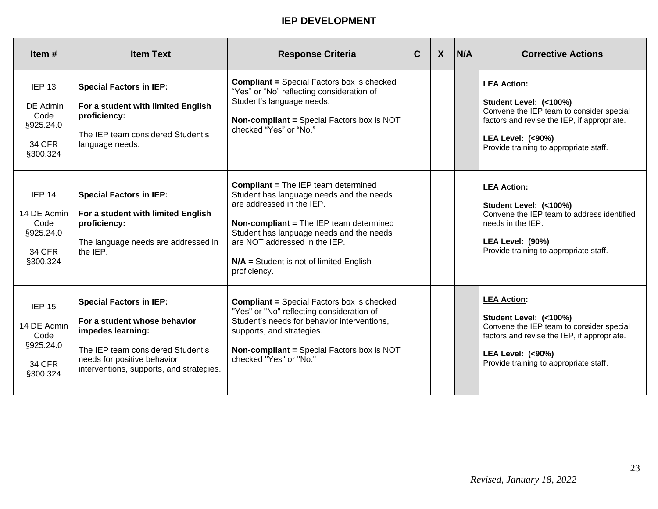| Item $#$                                                                           | <b>Item Text</b>                                                                                                                                                                                    | <b>Response Criteria</b>                                                                                                                                                                                                                                                                                        | $\mathbf C$ | $\mathsf{X}$ | N/A | <b>Corrective Actions</b>                                                                                                                                                                                        |
|------------------------------------------------------------------------------------|-----------------------------------------------------------------------------------------------------------------------------------------------------------------------------------------------------|-----------------------------------------------------------------------------------------------------------------------------------------------------------------------------------------------------------------------------------------------------------------------------------------------------------------|-------------|--------------|-----|------------------------------------------------------------------------------------------------------------------------------------------------------------------------------------------------------------------|
| <b>IEP 13</b><br>DE Admin<br>Code<br>§925.24.0<br><b>34 CFR</b><br>§300.324        | <b>Special Factors in IEP:</b><br>For a student with limited English<br>proficiency:<br>The IEP team considered Student's<br>language needs.                                                        | <b>Compliant = Special Factors box is checked</b><br>"Yes" or "No" reflecting consideration of<br>Student's language needs.<br><b>Non-compliant = Special Factors box is NOT</b><br>checked "Yes" or "No."                                                                                                      |             |              |     | <b>LEA Action:</b><br>Student Level: (<100%)<br>Convene the IEP team to consider special<br>factors and revise the IEP, if appropriate.<br><b>LEA Level: (&lt;90%)</b><br>Provide training to appropriate staff. |
| IEP <sub>14</sub><br>14 DE Admin<br>Code<br>§925.24.0<br><b>34 CFR</b><br>§300.324 | <b>Special Factors in IEP:</b><br>For a student with limited English<br>proficiency:<br>The language needs are addressed in<br>the IEP.                                                             | <b>Compliant = The IEP team determined</b><br>Student has language needs and the needs<br>are addressed in the IEP.<br><b>Non-compliant = The IEP team determined</b><br>Student has language needs and the needs<br>are NOT addressed in the IEP.<br>$N/A$ = Student is not of limited English<br>proficiency. |             |              |     | <b>LEA Action:</b><br>Student Level: (<100%)<br>Convene the IEP team to address identified<br>needs in the IEP.<br>LEA Level: (90%)<br>Provide training to appropriate staff.                                    |
| <b>IEP 15</b><br>14 DE Admin<br>Code<br>§925.24.0<br><b>34 CFR</b><br>§300.324     | <b>Special Factors in IEP:</b><br>For a student whose behavior<br>impedes learning:<br>The IEP team considered Student's<br>needs for positive behavior<br>interventions, supports, and strategies. | <b>Compliant = Special Factors box is checked</b><br>"Yes" or "No" reflecting consideration of<br>Student's needs for behavior interventions,<br>supports, and strategies.<br>Non-compliant = Special Factors box is NOT<br>checked "Yes" or "No."                                                              |             |              |     | <b>LEA Action:</b><br>Student Level: (<100%)<br>Convene the IEP team to consider special<br>factors and revise the IEP, if appropriate.<br><b>LEA Level: (&lt;90%)</b><br>Provide training to appropriate staff. |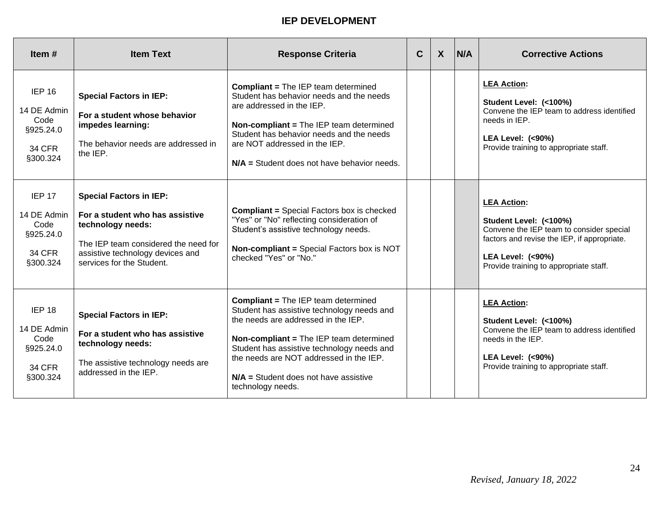| Item $#$                                                                           | <b>Item Text</b>                                                                                                                                                                                | <b>Response Criteria</b>                                                                                                                                                                                                                                                                                                            | C. | $\mathsf{X}$ | <b>N/A</b> | <b>Corrective Actions</b>                                                                                                                                                                                        |
|------------------------------------------------------------------------------------|-------------------------------------------------------------------------------------------------------------------------------------------------------------------------------------------------|-------------------------------------------------------------------------------------------------------------------------------------------------------------------------------------------------------------------------------------------------------------------------------------------------------------------------------------|----|--------------|------------|------------------------------------------------------------------------------------------------------------------------------------------------------------------------------------------------------------------|
| <b>IEP 16</b><br>14 DE Admin<br>Code<br>§925.24.0<br><b>34 CFR</b><br>§300.324     | <b>Special Factors in IEP:</b><br>For a student whose behavior<br>impedes learning:<br>The behavior needs are addressed in<br>the IEP.                                                          | <b>Compliant = The IEP team determined</b><br>Student has behavior needs and the needs<br>are addressed in the IEP.<br>Non-compliant = The IEP team determined<br>Student has behavior needs and the needs<br>are NOT addressed in the IEP.<br>$N/A$ = Student does not have behavior needs.                                        |    |              |            | <b>LEA Action:</b><br>Student Level: (<100%)<br>Convene the IEP team to address identified<br>needs in IEP.<br><b>LEA Level: (&lt;90%)</b><br>Provide training to appropriate staff.                             |
| <b>IEP 17</b><br>14 DE Admin<br>Code<br>§925.24.0<br><b>34 CFR</b><br>§300.324     | <b>Special Factors in IEP:</b><br>For a student who has assistive<br>technology needs:<br>The IEP team considered the need for<br>assistive technology devices and<br>services for the Student. | <b>Compliant = Special Factors box is checked</b><br>"Yes" or "No" reflecting consideration of<br>Student's assistive technology needs.<br><b>Non-compliant = Special Factors box is NOT</b><br>checked "Yes" or "No."                                                                                                              |    |              |            | <b>LEA Action:</b><br>Student Level: (<100%)<br>Convene the IEP team to consider special<br>factors and revise the IEP, if appropriate.<br><b>LEA Level: (&lt;90%)</b><br>Provide training to appropriate staff. |
| IEP <sub>18</sub><br>14 DE Admin<br>Code<br>§925.24.0<br><b>34 CFR</b><br>§300.324 | <b>Special Factors in IEP:</b><br>For a student who has assistive<br>technology needs:<br>The assistive technology needs are<br>addressed in the IEP.                                           | <b>Compliant = The IEP team determined</b><br>Student has assistive technology needs and<br>the needs are addressed in the IEP.<br>Non-compliant = The IEP team determined<br>Student has assistive technology needs and<br>the needs are NOT addressed in the IEP.<br>$N/A$ = Student does not have assistive<br>technology needs. |    |              |            | <b>LEA Action:</b><br>Student Level: (<100%)<br>Convene the IEP team to address identified<br>needs in the IEP.<br><b>LEA Level: (&lt;90%)</b><br>Provide training to appropriate staff.                         |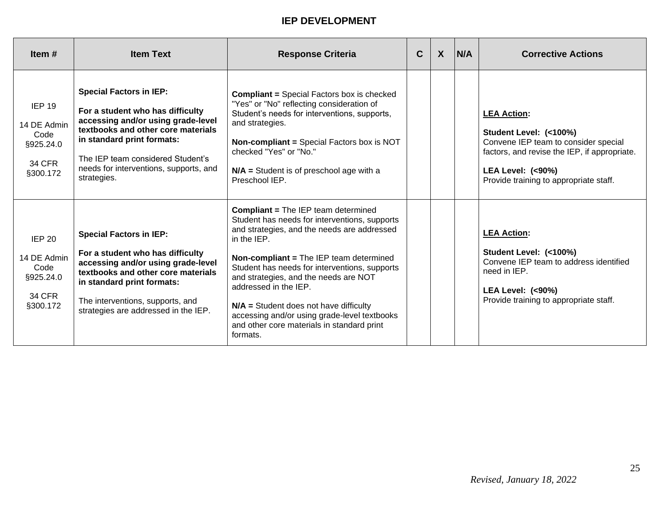| Item $#$                                                                       | <b>Item Text</b>                                                                                                                                                                                                                                                           | <b>Response Criteria</b>                                                                                                                                                                                                                                                                                                                                                                                                                                                      | C | $\boldsymbol{X}$ | IN/A | <b>Corrective Actions</b>                                                                                                                                                                                     |
|--------------------------------------------------------------------------------|----------------------------------------------------------------------------------------------------------------------------------------------------------------------------------------------------------------------------------------------------------------------------|-------------------------------------------------------------------------------------------------------------------------------------------------------------------------------------------------------------------------------------------------------------------------------------------------------------------------------------------------------------------------------------------------------------------------------------------------------------------------------|---|------------------|------|---------------------------------------------------------------------------------------------------------------------------------------------------------------------------------------------------------------|
| IEP 19<br>14 DE Admin<br>Code<br>§925.24.0<br><b>34 CFR</b><br>§300.172        | <b>Special Factors in IEP:</b><br>For a student who has difficulty<br>accessing and/or using grade-level<br>textbooks and other core materials<br>in standard print formats:<br>The IEP team considered Student's<br>needs for interventions, supports, and<br>strategies. | <b>Compliant = Special Factors box is checked</b><br>"Yes" or "No" reflecting consideration of<br>Student's needs for interventions, supports,<br>and strategies.<br><b>Non-compliant = Special Factors box is NOT</b><br>checked "Yes" or "No."<br>$N/A$ = Student is of preschool age with a<br>Preschool IEP.                                                                                                                                                              |   |                  |      | <b>LEA Action:</b><br>Student Level: (<100%)<br>Convene IEP team to consider special<br>factors, and revise the IEP, if appropriate.<br><b>LEA Level: (&lt;90%)</b><br>Provide training to appropriate staff. |
| <b>IEP 20</b><br>14 DE Admin<br>Code<br>§925.24.0<br><b>34 CFR</b><br>§300.172 | <b>Special Factors in IEP:</b><br>For a student who has difficulty<br>accessing and/or using grade-level<br>textbooks and other core materials<br>in standard print formats:<br>The interventions, supports, and<br>strategies are addressed in the IEP.                   | <b>Compliant = The IEP team determined</b><br>Student has needs for interventions, supports<br>and strategies, and the needs are addressed<br>in the IEP.<br>Non-compliant = The IEP team determined<br>Student has needs for interventions, supports<br>and strategies, and the needs are NOT<br>addressed in the IEP.<br>$N/A$ = Student does not have difficulty<br>accessing and/or using grade-level textbooks<br>and other core materials in standard print<br>formats. |   |                  |      | <b>LEA Action:</b><br>Student Level: (<100%)<br>Convene IEP team to address identified<br>need in IEP.<br><b>LEA Level: (&lt;90%)</b><br>Provide training to appropriate staff.                               |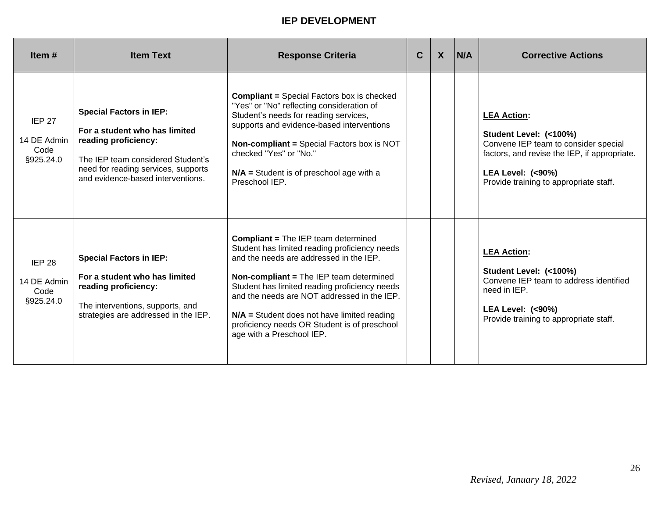| Item $#$                                          | <b>Item Text</b>                                                                                                                                                                                         | <b>Response Criteria</b>                                                                                                                                                                                                                                                                                                                                                                                        | $\mathbf C$ | $\boldsymbol{X}$ | N/A | <b>Corrective Actions</b>                                                                                                                                                                                     |
|---------------------------------------------------|----------------------------------------------------------------------------------------------------------------------------------------------------------------------------------------------------------|-----------------------------------------------------------------------------------------------------------------------------------------------------------------------------------------------------------------------------------------------------------------------------------------------------------------------------------------------------------------------------------------------------------------|-------------|------------------|-----|---------------------------------------------------------------------------------------------------------------------------------------------------------------------------------------------------------------|
| <b>IEP 27</b><br>14 DE Admin<br>Code<br>§925.24.0 | <b>Special Factors in IEP:</b><br>For a student who has limited<br>reading proficiency:<br>The IEP team considered Student's<br>need for reading services, supports<br>and evidence-based interventions. | <b>Compliant = Special Factors box is checked</b><br>"Yes" or "No" reflecting consideration of<br>Student's needs for reading services,<br>supports and evidence-based interventions<br><b>Non-compliant = Special Factors box is NOT</b><br>checked "Yes" or "No."<br>$N/A$ = Student is of preschool age with a<br>Preschool IEP.                                                                             |             |                  |     | <b>LEA Action:</b><br>Student Level: (<100%)<br>Convene IEP team to consider special<br>factors, and revise the IEP, if appropriate.<br><b>LEA Level: (&lt;90%)</b><br>Provide training to appropriate staff. |
| <b>IEP 28</b><br>14 DE Admin<br>Code<br>§925.24.0 | <b>Special Factors in IEP:</b><br>For a student who has limited<br>reading proficiency:<br>The interventions, supports, and<br>strategies are addressed in the IEP.                                      | <b>Compliant = The IEP team determined</b><br>Student has limited reading proficiency needs<br>and the needs are addressed in the IEP.<br>Non-compliant = The IEP team determined<br>Student has limited reading proficiency needs<br>and the needs are NOT addressed in the IEP.<br>$N/A$ = Student does not have limited reading<br>proficiency needs OR Student is of preschool<br>age with a Preschool IEP. |             |                  |     | <b>LEA Action:</b><br>Student Level: (<100%)<br>Convene IEP team to address identified<br>need in IEP.<br><b>LEA Level: (&lt;90%)</b><br>Provide training to appropriate staff.                               |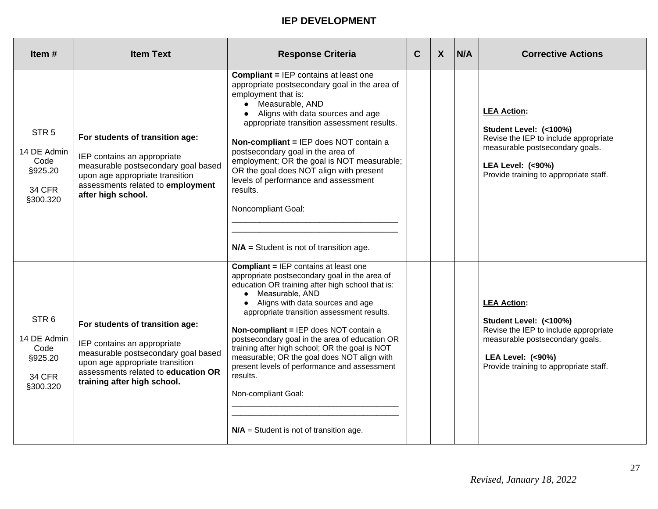| Item#                                                                           | <b>Item Text</b>                                                                                                                                                                                               | <b>Response Criteria</b>                                                                                                                                                                                                                                                                                                                                                                                                                                                                                                                                                                | $\mathbf C$ | $\boldsymbol{X}$ | <b>N/A</b> | <b>Corrective Actions</b>                                                                                                                                                                         |
|---------------------------------------------------------------------------------|----------------------------------------------------------------------------------------------------------------------------------------------------------------------------------------------------------------|-----------------------------------------------------------------------------------------------------------------------------------------------------------------------------------------------------------------------------------------------------------------------------------------------------------------------------------------------------------------------------------------------------------------------------------------------------------------------------------------------------------------------------------------------------------------------------------------|-------------|------------------|------------|---------------------------------------------------------------------------------------------------------------------------------------------------------------------------------------------------|
| STR <sub>5</sub><br>14 DE Admin<br>Code<br>§925.20<br><b>34 CFR</b><br>§300.320 | For students of transition age:<br>IEP contains an appropriate<br>measurable postsecondary goal based<br>upon age appropriate transition<br>assessments related to employment<br>after high school.            | <b>Compliant = IEP contains at least one</b><br>appropriate postsecondary goal in the area of<br>employment that is:<br>• Measurable, AND<br>• Aligns with data sources and age<br>appropriate transition assessment results.<br>Non-compliant = IEP does NOT contain a<br>postsecondary goal in the area of<br>employment; OR the goal is NOT measurable;<br>OR the goal does NOT align with present<br>levels of performance and assessment<br>results.<br>Noncompliant Goal:<br>$N/A$ = Student is not of transition age.                                                            |             |                  |            | <b>LEA Action:</b><br>Student Level: (<100%)<br>Revise the IEP to include appropriate<br>measurable postsecondary goals.<br><b>LEA Level: (&lt;90%)</b><br>Provide training to appropriate staff. |
| STR <sub>6</sub><br>14 DE Admin<br>Code<br>§925.20<br><b>34 CFR</b><br>§300.320 | For students of transition age:<br>IEP contains an appropriate<br>measurable postsecondary goal based<br>upon age appropriate transition<br>assessments related to education OR<br>training after high school. | <b>Compliant = IEP contains at least one</b><br>appropriate postsecondary goal in the area of<br>education OR training after high school that is:<br>• Measurable, AND<br>• Aligns with data sources and age<br>appropriate transition assessment results.<br>Non-compliant = IEP does NOT contain a<br>postsecondary goal in the area of education OR<br>training after high school; OR the goal is NOT<br>measurable; OR the goal does NOT align with<br>present levels of performance and assessment<br>results.<br>Non-compliant Goal:<br>$N/A$ = Student is not of transition age. |             |                  |            | <b>LEA Action:</b><br>Student Level: (<100%)<br>Revise the IEP to include appropriate<br>measurable postsecondary goals.<br><b>LEA Level: (&lt;90%)</b><br>Provide training to appropriate staff. |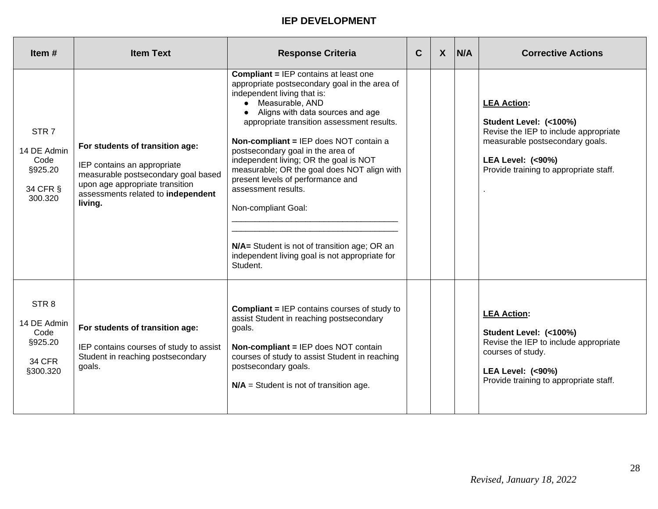| Item $#$                                                                        | <b>Item Text</b>                                                                                                                                                                          | <b>Response Criteria</b>                                                                                                                                                                                                                                                                                                                                                                                                                                                                                                                                                                                       | C | $\boldsymbol{X}$ | <b>N/A</b> | <b>Corrective Actions</b>                                                                                                                                                                         |
|---------------------------------------------------------------------------------|-------------------------------------------------------------------------------------------------------------------------------------------------------------------------------------------|----------------------------------------------------------------------------------------------------------------------------------------------------------------------------------------------------------------------------------------------------------------------------------------------------------------------------------------------------------------------------------------------------------------------------------------------------------------------------------------------------------------------------------------------------------------------------------------------------------------|---|------------------|------------|---------------------------------------------------------------------------------------------------------------------------------------------------------------------------------------------------|
| STR <sub>7</sub><br>14 DE Admin<br>Code<br>§925.20<br>34 CFR §<br>300.320       | For students of transition age:<br>IEP contains an appropriate<br>measurable postsecondary goal based<br>upon age appropriate transition<br>assessments related to independent<br>living. | <b>Compliant = IEP contains at least one</b><br>appropriate postsecondary goal in the area of<br>independent living that is:<br>• Measurable, AND<br>• Aligns with data sources and age<br>appropriate transition assessment results.<br>Non-compliant = IEP does NOT contain a<br>postsecondary goal in the area of<br>independent living; OR the goal is NOT<br>measurable; OR the goal does NOT align with<br>present levels of performance and<br>assessment results.<br>Non-compliant Goal:<br>N/A= Student is not of transition age; OR an<br>independent living goal is not appropriate for<br>Student. |   |                  |            | <b>LEA Action:</b><br>Student Level: (<100%)<br>Revise the IEP to include appropriate<br>measurable postsecondary goals.<br><b>LEA Level: (&lt;90%)</b><br>Provide training to appropriate staff. |
| STR <sub>8</sub><br>14 DE Admin<br>Code<br>§925.20<br><b>34 CFR</b><br>§300.320 | For students of transition age:<br>IEP contains courses of study to assist<br>Student in reaching postsecondary<br>goals.                                                                 | <b>Compliant = IEP contains courses of study to</b><br>assist Student in reaching postsecondary<br>goals.<br><b>Non-compliant = IEP does NOT contain</b><br>courses of study to assist Student in reaching<br>postsecondary goals.<br>$N/A$ = Student is not of transition age.                                                                                                                                                                                                                                                                                                                                |   |                  |            | <b>LEA Action:</b><br>Student Level: (<100%)<br>Revise the IEP to include appropriate<br>courses of study.<br><b>LEA Level: (&lt;90%)</b><br>Provide training to appropriate staff.               |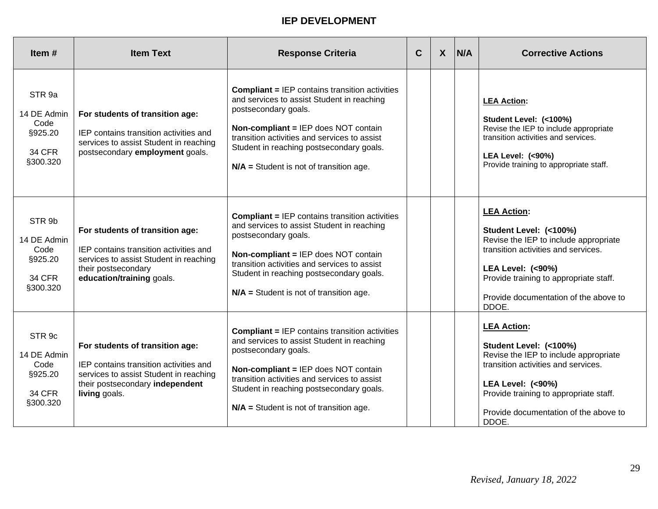| Item $#$                                                                         | <b>Item Text</b>                                                                                                                                                        | <b>Response Criteria</b>                                                                                                                                                                                                                                                                                     | $\mathbf C$ | $\boldsymbol{X}$ | N/A | <b>Corrective Actions</b>                                                                                                                                                                                                                               |
|----------------------------------------------------------------------------------|-------------------------------------------------------------------------------------------------------------------------------------------------------------------------|--------------------------------------------------------------------------------------------------------------------------------------------------------------------------------------------------------------------------------------------------------------------------------------------------------------|-------------|------------------|-----|---------------------------------------------------------------------------------------------------------------------------------------------------------------------------------------------------------------------------------------------------------|
| STR 9a<br>14 DE Admin<br>Code<br>§925.20<br><b>34 CFR</b><br>§300.320            | For students of transition age:<br>IEP contains transition activities and<br>services to assist Student in reaching<br>postsecondary employment goals.                  | <b>Compliant = IEP contains transition activities</b><br>and services to assist Student in reaching<br>postsecondary goals.<br>Non-compliant = IEP does NOT contain<br>transition activities and services to assist<br>Student in reaching postsecondary goals.<br>$N/A$ = Student is not of transition age. |             |                  |     | <b>LEA Action:</b><br>Student Level: (<100%)<br>Revise the IEP to include appropriate<br>transition activities and services.<br><b>LEA Level: (&lt;90%)</b><br>Provide training to appropriate staff.                                                   |
| STR 9b<br>14 DE Admin<br>Code<br>§925.20<br><b>34 CFR</b><br>§300.320            | For students of transition age:<br>IEP contains transition activities and<br>services to assist Student in reaching<br>their postsecondary<br>education/training goals. | <b>Compliant = IEP contains transition activities</b><br>and services to assist Student in reaching<br>postsecondary goals.<br>Non-compliant = IEP does NOT contain<br>transition activities and services to assist<br>Student in reaching postsecondary goals.<br>$N/A$ = Student is not of transition age. |             |                  |     | <b>LEA Action:</b><br>Student Level: (<100%)<br>Revise the IEP to include appropriate<br>transition activities and services.<br><b>LEA Level: (&lt;90%)</b><br>Provide training to appropriate staff.<br>Provide documentation of the above to<br>DDOE. |
| STR <sub>9c</sub><br>14 DE Admin<br>Code<br>§925.20<br><b>34 CFR</b><br>§300.320 | For students of transition age:<br>IEP contains transition activities and<br>services to assist Student in reaching<br>their postsecondary independent<br>living goals. | <b>Compliant = IEP contains transition activities</b><br>and services to assist Student in reaching<br>postsecondary goals.<br>Non-compliant = IEP does NOT contain<br>transition activities and services to assist<br>Student in reaching postsecondary goals.<br>$N/A$ = Student is not of transition age. |             |                  |     | <b>LEA Action:</b><br>Student Level: (<100%)<br>Revise the IEP to include appropriate<br>transition activities and services.<br><b>LEA Level: (&lt;90%)</b><br>Provide training to appropriate staff.<br>Provide documentation of the above to<br>DDOE. |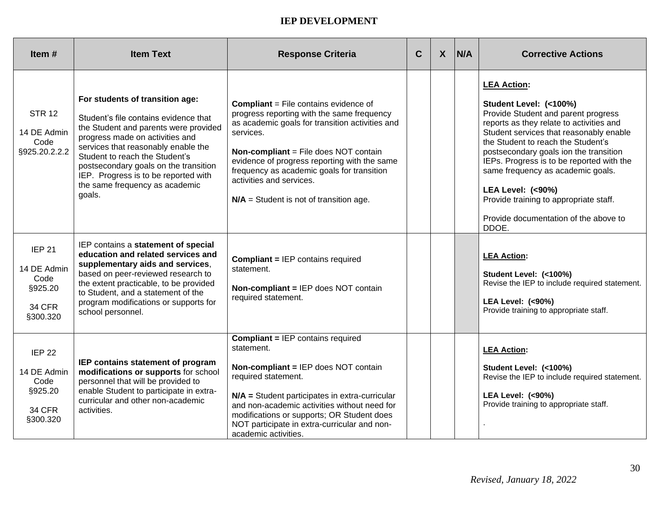| Item#                                                                        | <b>Item Text</b>                                                                                                                                                                                                                                                                                                                                           | <b>Response Criteria</b>                                                                                                                                                                                                                                                                                                                                                          | $\mathbf C$ | $\boldsymbol{X}$ | N/A | <b>Corrective Actions</b>                                                                                                                                                                                                                                                                                                                                                                                                                                      |
|------------------------------------------------------------------------------|------------------------------------------------------------------------------------------------------------------------------------------------------------------------------------------------------------------------------------------------------------------------------------------------------------------------------------------------------------|-----------------------------------------------------------------------------------------------------------------------------------------------------------------------------------------------------------------------------------------------------------------------------------------------------------------------------------------------------------------------------------|-------------|------------------|-----|----------------------------------------------------------------------------------------------------------------------------------------------------------------------------------------------------------------------------------------------------------------------------------------------------------------------------------------------------------------------------------------------------------------------------------------------------------------|
| <b>STR 12</b><br>14 DE Admin<br>Code<br>§925.20.2.2.2                        | For students of transition age:<br>Student's file contains evidence that<br>the Student and parents were provided<br>progress made on activities and<br>services that reasonably enable the<br>Student to reach the Student's<br>postsecondary goals on the transition<br>IEP. Progress is to be reported with<br>the same frequency as academic<br>goals. | <b>Compliant</b> = File contains evidence of<br>progress reporting with the same frequency<br>as academic goals for transition activities and<br>services.<br><b>Non-compliant</b> = File does NOT contain<br>evidence of progress reporting with the same<br>frequency as academic goals for transition<br>activities and services.<br>$N/A$ = Student is not of transition age. |             |                  |     | <b>LEA Action:</b><br>Student Level: (<100%)<br>Provide Student and parent progress<br>reports as they relate to activities and<br>Student services that reasonably enable<br>the Student to reach the Student's<br>postsecondary goals ion the transition<br>IEPs. Progress is to be reported with the<br>same frequency as academic goals.<br><b>LEA Level: (&lt;90%)</b><br>Provide training to appropriate staff.<br>Provide documentation of the above to |
| <b>IEP 21</b><br>14 DE Admin<br>Code<br>§925.20<br><b>34 CFR</b><br>§300.320 | IEP contains a statement of special<br>education and related services and<br>supplementary aids and services,<br>based on peer-reviewed research to<br>the extent practicable, to be provided<br>to Student, and a statement of the<br>program modifications or supports for<br>school personnel.                                                          | <b>Compliant = IEP contains required</b><br>statement.<br>Non-compliant = IEP does NOT contain<br>required statement.                                                                                                                                                                                                                                                             |             |                  |     | DDOE.<br><b>LEA Action:</b><br>Student Level: (<100%)<br>Revise the IEP to include required statement.<br>LEA Level: (<90%)<br>Provide training to appropriate staff.                                                                                                                                                                                                                                                                                          |
| <b>IEP 22</b><br>14 DE Admin<br>Code<br>§925.20<br><b>34 CFR</b><br>§300.320 | IEP contains statement of program<br>modifications or supports for school<br>personnel that will be provided to<br>enable Student to participate in extra-<br>curricular and other non-academic<br>activities.                                                                                                                                             | <b>Compliant = IEP contains required</b><br>statement.<br>Non-compliant = IEP does NOT contain<br>required statement.<br>N/A = Student participates in extra-curricular<br>and non-academic activities without need for<br>modifications or supports; OR Student does<br>NOT participate in extra-curricular and non-<br>academic activities.                                     |             |                  |     | <b>LEA Action:</b><br>Student Level: (<100%)<br>Revise the IEP to include required statement.<br><b>LEA Level: (&lt;90%)</b><br>Provide training to appropriate staff.                                                                                                                                                                                                                                                                                         |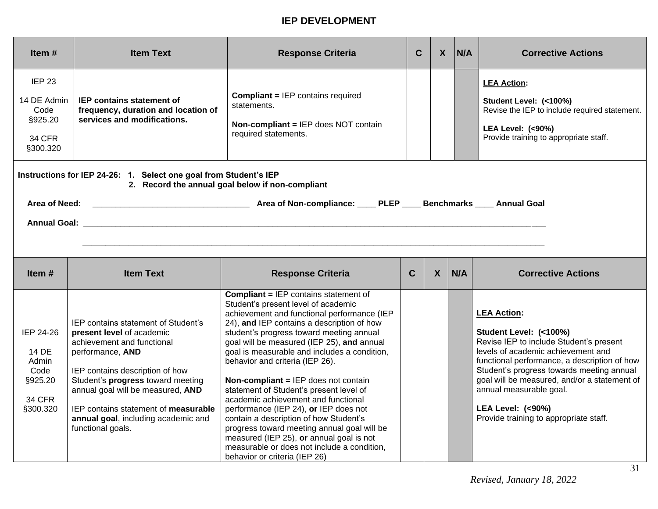| Item $#$                                                                                                              | <b>Item Text</b>                                                                                       | <b>Response Criteria</b>                                                                                                       | C | ᄉ | N/A | <b>Corrective Actions</b>                                                                                                                                              |
|-----------------------------------------------------------------------------------------------------------------------|--------------------------------------------------------------------------------------------------------|--------------------------------------------------------------------------------------------------------------------------------|---|---|-----|------------------------------------------------------------------------------------------------------------------------------------------------------------------------|
| IEP <sub>23</sub><br>14 DE Admin<br>Code<br>§925.20<br>34 CFR<br>§300.320                                             | <b>IEP contains statement of</b><br>frequency, duration and location of<br>services and modifications. | <b>Compliant = IEP contains required</b><br>statements.<br><b>Non-compliant = IEP does NOT contain</b><br>required statements. |   |   |     | <b>LEA Action:</b><br>Student Level: (<100%)<br>Revise the IEP to include required statement.<br><b>LEA Level: (&lt;90%)</b><br>Provide training to appropriate staff. |
| Instructions for IEP 24-26: 1. Select one goal from Student's IEP<br>2. Record the annual goal below if non-compliant |                                                                                                        |                                                                                                                                |   |   |     |                                                                                                                                                                        |

| Area of Need:       | Area of Non-compliance: ____ PLEP<br>$\_$ Benchmarks $\_$<br>Annual Goal |
|---------------------|--------------------------------------------------------------------------|
| <b>Annual Goal:</b> |                                                                          |
|                     |                                                                          |

| Item $#$                                                             | <b>Item Text</b>                                                                                                                                                                                                                                                                                                                           | <b>Response Criteria</b>                                                                                                                                                                                                                                                                                                                                                                                                                                                                                                                                                                                                                                                                                                                                     | C | X | N/A | <b>Corrective Actions</b>                                                                                                                                                                                                                                                                                                                                                      |
|----------------------------------------------------------------------|--------------------------------------------------------------------------------------------------------------------------------------------------------------------------------------------------------------------------------------------------------------------------------------------------------------------------------------------|--------------------------------------------------------------------------------------------------------------------------------------------------------------------------------------------------------------------------------------------------------------------------------------------------------------------------------------------------------------------------------------------------------------------------------------------------------------------------------------------------------------------------------------------------------------------------------------------------------------------------------------------------------------------------------------------------------------------------------------------------------------|---|---|-----|--------------------------------------------------------------------------------------------------------------------------------------------------------------------------------------------------------------------------------------------------------------------------------------------------------------------------------------------------------------------------------|
| IEP 24-26<br>14 DE<br>Admin<br>Code<br>§925.20<br>34 CFR<br>§300.320 | IEP contains statement of Student's<br>present level of academic<br>achievement and functional<br>performance, AND<br>IEP contains description of how<br>Student's progress toward meeting<br>annual goal will be measured, AND<br>IEP contains statement of <b>measurable</b><br>annual goal, including academic and<br>functional goals. | <b>Compliant = IEP contains statement of</b><br>Student's present level of academic<br>achievement and functional performance (IEP<br>24), and IEP contains a description of how<br>student's progress toward meeting annual<br>goal will be measured (IEP 25), and annual<br>goal is measurable and includes a condition,<br>behavior and criteria (IEP 26).<br><b>Non-compliant = IEP does not contain</b><br>statement of Student's present level of<br>academic achievement and functional<br>performance (IEP 24), or IEP does not<br>contain a description of how Student's<br>progress toward meeting annual goal will be<br>measured (IEP 25), or annual goal is not<br>measurable or does not include a condition,<br>behavior or criteria (IEP 26) |   |   |     | <b>LEA Action:</b><br>Student Level: (<100%)<br>Revise IEP to include Student's present<br>levels of academic achievement and<br>functional performance, a description of how<br>Student's progress towards meeting annual<br>goal will be measured, and/or a statement of<br>annual measurable goal.<br><b>LEA Level: (&lt;90%)</b><br>Provide training to appropriate staff. |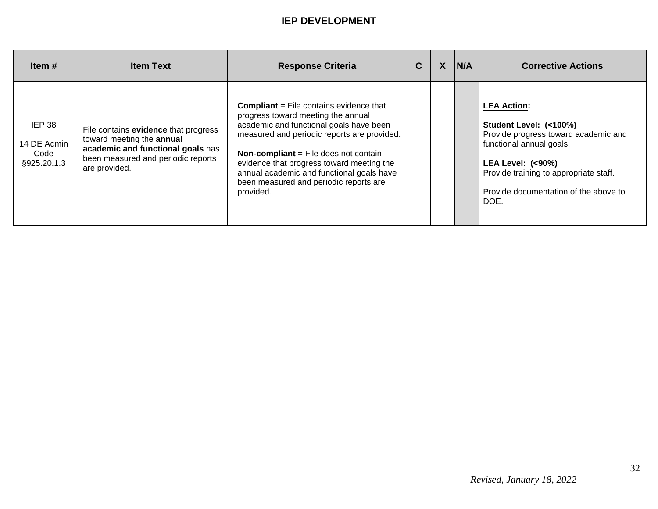| Item $#$                                            | <b>Item Text</b>                                                                                                                                              | <b>Response Criteria</b>                                                                                                                                                                                                                                                                                                                                                        | C | $\boldsymbol{X}$ | N/A | <b>Corrective Actions</b>                                                                                                                                                                                                                  |
|-----------------------------------------------------|---------------------------------------------------------------------------------------------------------------------------------------------------------------|---------------------------------------------------------------------------------------------------------------------------------------------------------------------------------------------------------------------------------------------------------------------------------------------------------------------------------------------------------------------------------|---|------------------|-----|--------------------------------------------------------------------------------------------------------------------------------------------------------------------------------------------------------------------------------------------|
| <b>IEP 38</b><br>14 DE Admin<br>Code<br>§925.20.1.3 | File contains evidence that progress<br>toward meeting the annual<br>academic and functional goals has<br>been measured and periodic reports<br>are provided. | <b>Compliant</b> = File contains evidence that<br>progress toward meeting the annual<br>academic and functional goals have been<br>measured and periodic reports are provided.<br><b>Non-compliant</b> = File does not contain<br>evidence that progress toward meeting the<br>annual academic and functional goals have<br>been measured and periodic reports are<br>provided. |   |                  |     | <b>LEA Action:</b><br>Student Level: (<100%)<br>Provide progress toward academic and<br>functional annual goals.<br><b>LEA Level: (&lt;90%)</b><br>Provide training to appropriate staff.<br>Provide documentation of the above to<br>DOE. |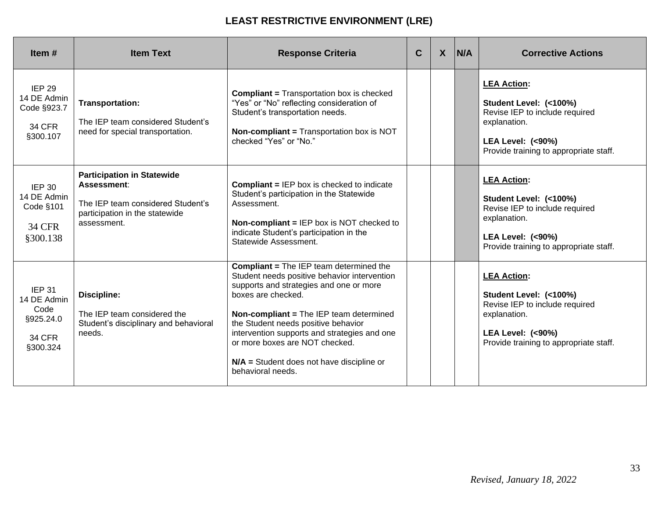| Item $#$                                                                       | <b>Item Text</b>                                                                                                                       | <b>Response Criteria</b>                                                                                                                                                                                                                                                                                                                                                                                | C | $\boldsymbol{X}$ | <b>N/A</b> | <b>Corrective Actions</b>                                                                                                                                               |
|--------------------------------------------------------------------------------|----------------------------------------------------------------------------------------------------------------------------------------|---------------------------------------------------------------------------------------------------------------------------------------------------------------------------------------------------------------------------------------------------------------------------------------------------------------------------------------------------------------------------------------------------------|---|------------------|------------|-------------------------------------------------------------------------------------------------------------------------------------------------------------------------|
| <b>IEP 29</b><br>14 DE Admin<br>Code §923.7<br><b>34 CFR</b><br>§300.107       | <b>Transportation:</b><br>The IEP team considered Student's<br>need for special transportation.                                        | <b>Compliant = Transportation box is checked</b><br>"Yes" or "No" reflecting consideration of<br>Student's transportation needs.<br><b>Non-compliant = Transportation box is NOT</b><br>checked "Yes" or "No."                                                                                                                                                                                          |   |                  |            | <b>LEA Action:</b><br>Student Level: (<100%)<br>Revise IEP to include required<br>explanation.<br><b>LEA Level: (&lt;90%)</b><br>Provide training to appropriate staff. |
| <b>IEP 30</b><br>14 DE Admin<br>Code §101<br><b>34 CFR</b><br>§300.138         | <b>Participation in Statewide</b><br>Assessment:<br>The IEP team considered Student's<br>participation in the statewide<br>assessment. | <b>Compliant = IEP box is checked to indicate</b><br>Student's participation in the Statewide<br>Assessment.<br>Non-compliant = IEP box is NOT checked to<br>indicate Student's participation in the<br>Statewide Assessment.                                                                                                                                                                           |   |                  |            | <b>LEA Action:</b><br>Student Level: (<100%)<br>Revise IEP to include required<br>explanation.<br><b>LEA Level: (&lt;90%)</b><br>Provide training to appropriate staff. |
| <b>IEP 31</b><br>14 DE Admin<br>Code<br>§925.24.0<br><b>34 CFR</b><br>§300.324 | <b>Discipline:</b><br>The IEP team considered the<br>Student's disciplinary and behavioral<br>needs.                                   | <b>Compliant = The IEP team determined the</b><br>Student needs positive behavior intervention<br>supports and strategies and one or more<br>boxes are checked.<br>Non-compliant = The IEP team determined<br>the Student needs positive behavior<br>intervention supports and strategies and one<br>or more boxes are NOT checked.<br>$N/A$ = Student does not have discipline or<br>behavioral needs. |   |                  |            | <b>LEA Action:</b><br>Student Level: (<100%)<br>Revise IEP to include required<br>explanation.<br><b>LEA Level: (&lt;90%)</b><br>Provide training to appropriate staff. |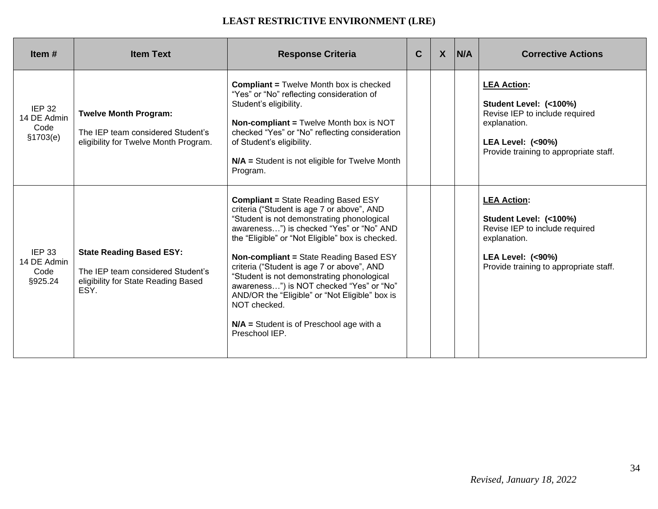| Item $#$                                          | <b>Item Text</b>                                                                                                    | <b>Response Criteria</b>                                                                                                                                                                                                                                                                                                                                                                                                                                                                                                                                           | C | $\mathsf{X}$ | N/A | <b>Corrective Actions</b>                                                                                                                                               |
|---------------------------------------------------|---------------------------------------------------------------------------------------------------------------------|--------------------------------------------------------------------------------------------------------------------------------------------------------------------------------------------------------------------------------------------------------------------------------------------------------------------------------------------------------------------------------------------------------------------------------------------------------------------------------------------------------------------------------------------------------------------|---|--------------|-----|-------------------------------------------------------------------------------------------------------------------------------------------------------------------------|
| <b>IEP 32</b><br>14 DE Admin<br>Code<br>\$1703(e) | <b>Twelve Month Program:</b><br>The IEP team considered Student's<br>eligibility for Twelve Month Program.          | <b>Compliant = Twelve Month box is checked</b><br>"Yes" or "No" reflecting consideration of<br>Student's eligibility.<br><b>Non-compliant = Twelve Month box is NOT</b><br>checked "Yes" or "No" reflecting consideration<br>of Student's eligibility.<br>N/A = Student is not eligible for Twelve Month<br>Program.                                                                                                                                                                                                                                               |   |              |     | <b>LEA Action:</b><br>Student Level: (<100%)<br>Revise IEP to include required<br>explanation.<br><b>LEA Level: (&lt;90%)</b><br>Provide training to appropriate staff. |
| <b>IEP 33</b><br>14 DE Admin<br>Code<br>§925.24   | <b>State Reading Based ESY:</b><br>The IEP team considered Student's<br>eligibility for State Reading Based<br>ESY. | <b>Compliant = State Reading Based ESY</b><br>criteria ("Student is age 7 or above", AND<br>"Student is not demonstrating phonological<br>awareness") is checked "Yes" or "No" AND<br>the "Eligible" or "Not Eligible" box is checked.<br><b>Non-compliant = State Reading Based ESY</b><br>criteria ("Student is age 7 or above", AND<br>"Student is not demonstrating phonological<br>awareness") is NOT checked "Yes" or "No"<br>AND/OR the "Eligible" or "Not Eligible" box is<br>NOT checked.<br>$N/A$ = Student is of Preschool age with a<br>Preschool IEP. |   |              |     | <b>LEA Action:</b><br>Student Level: (<100%)<br>Revise IEP to include required<br>explanation.<br><b>LEA Level: (&lt;90%)</b><br>Provide training to appropriate staff. |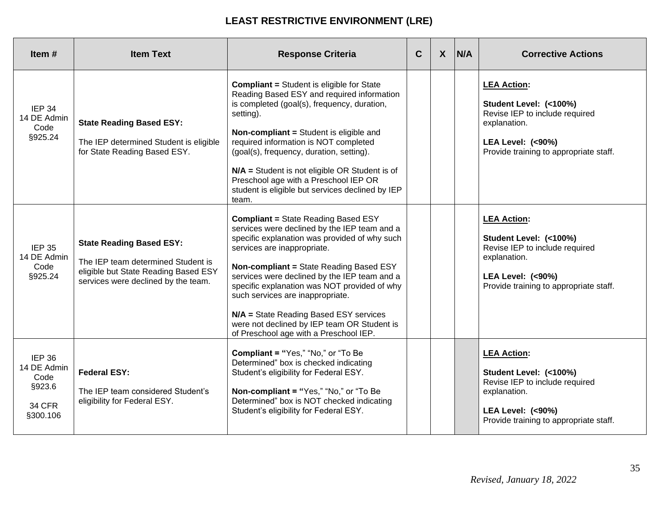| Item $#$                                                             | <b>Item Text</b>                                                                                                                                     | <b>Response Criteria</b>                                                                                                                                                                                                                                                                                                                                                                                                                                                                     | C | $\boldsymbol{X}$ | <b>N/A</b> | <b>Corrective Actions</b>                                                                                                                                               |
|----------------------------------------------------------------------|------------------------------------------------------------------------------------------------------------------------------------------------------|----------------------------------------------------------------------------------------------------------------------------------------------------------------------------------------------------------------------------------------------------------------------------------------------------------------------------------------------------------------------------------------------------------------------------------------------------------------------------------------------|---|------------------|------------|-------------------------------------------------------------------------------------------------------------------------------------------------------------------------|
| <b>IEP 34</b><br>14 DE Admin<br>Code<br>§925.24                      | <b>State Reading Based ESY:</b><br>The IEP determined Student is eligible<br>for State Reading Based ESY.                                            | <b>Compliant = Student is eligible for State</b><br>Reading Based ESY and required information<br>is completed (goal(s), frequency, duration,<br>setting).<br><b>Non-compliant = Student is eligible and</b><br>required information is NOT completed<br>(goal(s), frequency, duration, setting).<br>N/A = Student is not eligible OR Student is of<br>Preschool age with a Preschool IEP OR<br>student is eligible but services declined by IEP<br>team.                                    |   |                  |            | <b>LEA Action:</b><br>Student Level: (<100%)<br>Revise IEP to include required<br>explanation.<br><b>LEA Level: (&lt;90%)</b><br>Provide training to appropriate staff. |
| <b>IEP 35</b><br>14 DE Admin<br>Code<br>§925.24                      | <b>State Reading Based ESY:</b><br>The IEP team determined Student is<br>eligible but State Reading Based ESY<br>services were declined by the team. | <b>Compliant = State Reading Based ESY</b><br>services were declined by the IEP team and a<br>specific explanation was provided of why such<br>services are inappropriate.<br>Non-compliant = State Reading Based ESY<br>services were declined by the IEP team and a<br>specific explanation was NOT provided of why<br>such services are inappropriate.<br>N/A = State Reading Based ESY services<br>were not declined by IEP team OR Student is<br>of Preschool age with a Preschool IEP. |   |                  |            | <b>LEA Action:</b><br>Student Level: (<100%)<br>Revise IEP to include required<br>explanation.<br><b>LEA Level: (&lt;90%)</b><br>Provide training to appropriate staff. |
| IEP 36<br>14 DE Admin<br>Code<br>§923.6<br><b>34 CFR</b><br>§300.106 | <b>Federal ESY:</b><br>The IEP team considered Student's<br>eligibility for Federal ESY.                                                             | <b>Compliant = "Yes," "No," or "To Be</b><br>Determined" box is checked indicating<br>Student's eligibility for Federal ESY.<br>Non-compliant = "Yes," "No," or "To Be<br>Determined" box is NOT checked indicating<br>Student's eligibility for Federal ESY.                                                                                                                                                                                                                                |   |                  |            | <b>LEA Action:</b><br>Student Level: (<100%)<br>Revise IEP to include required<br>explanation.<br><b>LEA Level: (&lt;90%)</b><br>Provide training to appropriate staff. |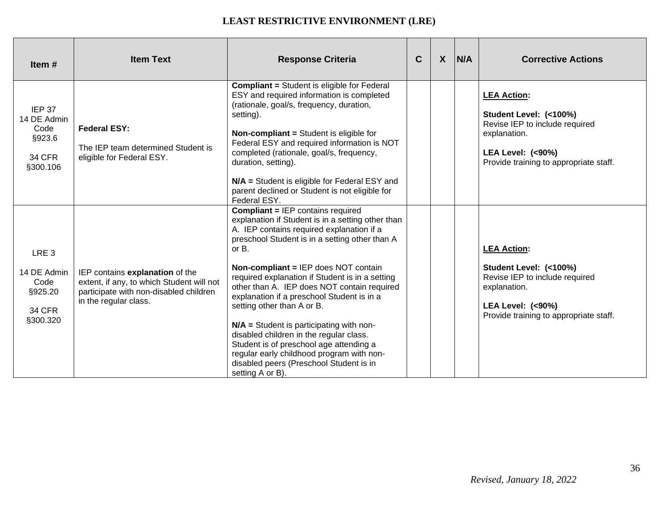| Item#                                                                           | <b>Item Text</b>                                                                                                                                | <b>Response Criteria</b>                                                                                                                                                                                                                                                                                                                                                                                                                                                                                                                                                                                                                                                           | $\mathbf C$ | $\mathsf{X}$ | N/A | <b>Corrective Actions</b>                                                                                                                                               |
|---------------------------------------------------------------------------------|-------------------------------------------------------------------------------------------------------------------------------------------------|------------------------------------------------------------------------------------------------------------------------------------------------------------------------------------------------------------------------------------------------------------------------------------------------------------------------------------------------------------------------------------------------------------------------------------------------------------------------------------------------------------------------------------------------------------------------------------------------------------------------------------------------------------------------------------|-------------|--------------|-----|-------------------------------------------------------------------------------------------------------------------------------------------------------------------------|
| IEP 37<br>14 DE Admin<br>Code<br>§923.6<br><b>34 CFR</b><br>§300.106            | <b>Federal ESY:</b><br>The IEP team determined Student is<br>eligible for Federal ESY.                                                          | <b>Compliant = Student is eligible for Federal</b><br>ESY and required information is completed<br>(rationale, goal/s, frequency, duration,<br>setting).<br><b>Non-compliant = Student is eligible for</b><br>Federal ESY and required information is NOT<br>completed (rationale, goal/s, frequency,<br>duration, setting).<br>N/A = Student is eligible for Federal ESY and<br>parent declined or Student is not eligible for<br>Federal ESY.                                                                                                                                                                                                                                    |             |              |     | <b>LEA Action:</b><br>Student Level: (<100%)<br>Revise IEP to include required<br>explanation.<br><b>LEA Level: (&lt;90%)</b><br>Provide training to appropriate staff. |
| LRE <sub>3</sub><br>14 DE Admin<br>Code<br>§925.20<br><b>34 CFR</b><br>§300.320 | IEP contains explanation of the<br>extent, if any, to which Student will not<br>participate with non-disabled children<br>in the regular class. | <b>Compliant = IEP contains required</b><br>explanation if Student is in a setting other than<br>A. IEP contains required explanation if a<br>preschool Student is in a setting other than A<br>or B.<br><b>Non-compliant = IEP does NOT contain</b><br>required explanation if Student is in a setting<br>other than A. IEP does NOT contain required<br>explanation if a preschool Student is in a<br>setting other than A or B.<br>$N/A$ = Student is participating with non-<br>disabled children in the regular class.<br>Student is of preschool age attending a<br>regular early childhood program with non-<br>disabled peers (Preschool Student is in<br>setting A or B). |             |              |     | <b>LEA Action:</b><br>Student Level: (<100%)<br>Revise IEP to include required<br>explanation.<br><b>LEA Level: (&lt;90%)</b><br>Provide training to appropriate staff. |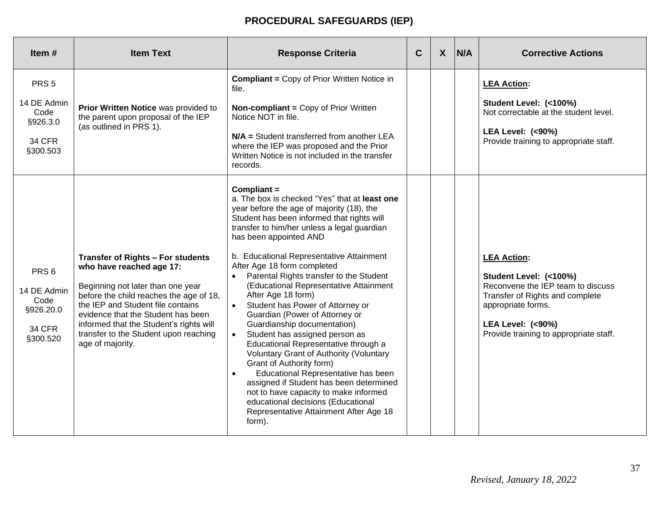# **PROCEDURAL SAFEGUARDS (IEP)**

| Item#                                                                             | <b>Item Text</b>                                                                                                                                                                                                                                                                                                                 | <b>Response Criteria</b>                                                                                                                                                                                                                                                                                                                                                                                                                                                                                                                                                                                                                                                                                                                                                                                                                                                                                                    | $\mathbf C$ | $\boldsymbol{X}$ | N/A | <b>Corrective Actions</b>                                                                                                                                                                                           |
|-----------------------------------------------------------------------------------|----------------------------------------------------------------------------------------------------------------------------------------------------------------------------------------------------------------------------------------------------------------------------------------------------------------------------------|-----------------------------------------------------------------------------------------------------------------------------------------------------------------------------------------------------------------------------------------------------------------------------------------------------------------------------------------------------------------------------------------------------------------------------------------------------------------------------------------------------------------------------------------------------------------------------------------------------------------------------------------------------------------------------------------------------------------------------------------------------------------------------------------------------------------------------------------------------------------------------------------------------------------------------|-------------|------------------|-----|---------------------------------------------------------------------------------------------------------------------------------------------------------------------------------------------------------------------|
| PRS <sub>5</sub><br>14 DE Admin<br>Code<br>§926.3.0<br><b>34 CFR</b><br>§300.503  | Prior Written Notice was provided to<br>the parent upon proposal of the IEP<br>(as outlined in PRS 1).                                                                                                                                                                                                                           | <b>Compliant = Copy of Prior Written Notice in</b><br>file.<br><b>Non-compliant = Copy of Prior Written</b><br>Notice NOT in file.<br>N/A = Student transferred from another LEA<br>where the IEP was proposed and the Prior<br>Written Notice is not included in the transfer<br>records.                                                                                                                                                                                                                                                                                                                                                                                                                                                                                                                                                                                                                                  |             |                  |     | <b>LEA Action:</b><br>Student Level: (<100%)<br>Not correctable at the student level.<br><b>LEA Level: (&lt;90%)</b><br>Provide training to appropriate staff.                                                      |
| PRS <sub>6</sub><br>14 DE Admin<br>Code<br>§926.20.0<br><b>34 CFR</b><br>§300.520 | Transfer of Rights - For students<br>who have reached age 17:<br>Beginning not later than one year<br>before the child reaches the age of 18,<br>the IEP and Student file contains<br>evidence that the Student has been<br>informed that the Student's rights will<br>transfer to the Student upon reaching<br>age of majority. | Compliant =<br>a. The box is checked "Yes" that at least one<br>year before the age of majority (18), the<br>Student has been informed that rights will<br>transfer to him/her unless a legal guardian<br>has been appointed AND<br>b. Educational Representative Attainment<br>After Age 18 form completed<br>Parental Rights transfer to the Student<br>(Educational Representative Attainment<br>After Age 18 form)<br>Student has Power of Attorney or<br>$\bullet$<br>Guardian (Power of Attorney or<br>Guardianship documentation)<br>Student has assigned person as<br>$\bullet$<br>Educational Representative through a<br>Voluntary Grant of Authority (Voluntary<br>Grant of Authority form)<br>Educational Representative has been<br>assigned if Student has been determined<br>not to have capacity to make informed<br>educational decisions (Educational<br>Representative Attainment After Age 18<br>form). |             |                  |     | <b>LEA Action:</b><br>Student Level: (<100%)<br>Reconvene the IEP team to discuss<br>Transfer of Rights and complete<br>appropriate forms.<br><b>LEA Level: (&lt;90%)</b><br>Provide training to appropriate staff. |